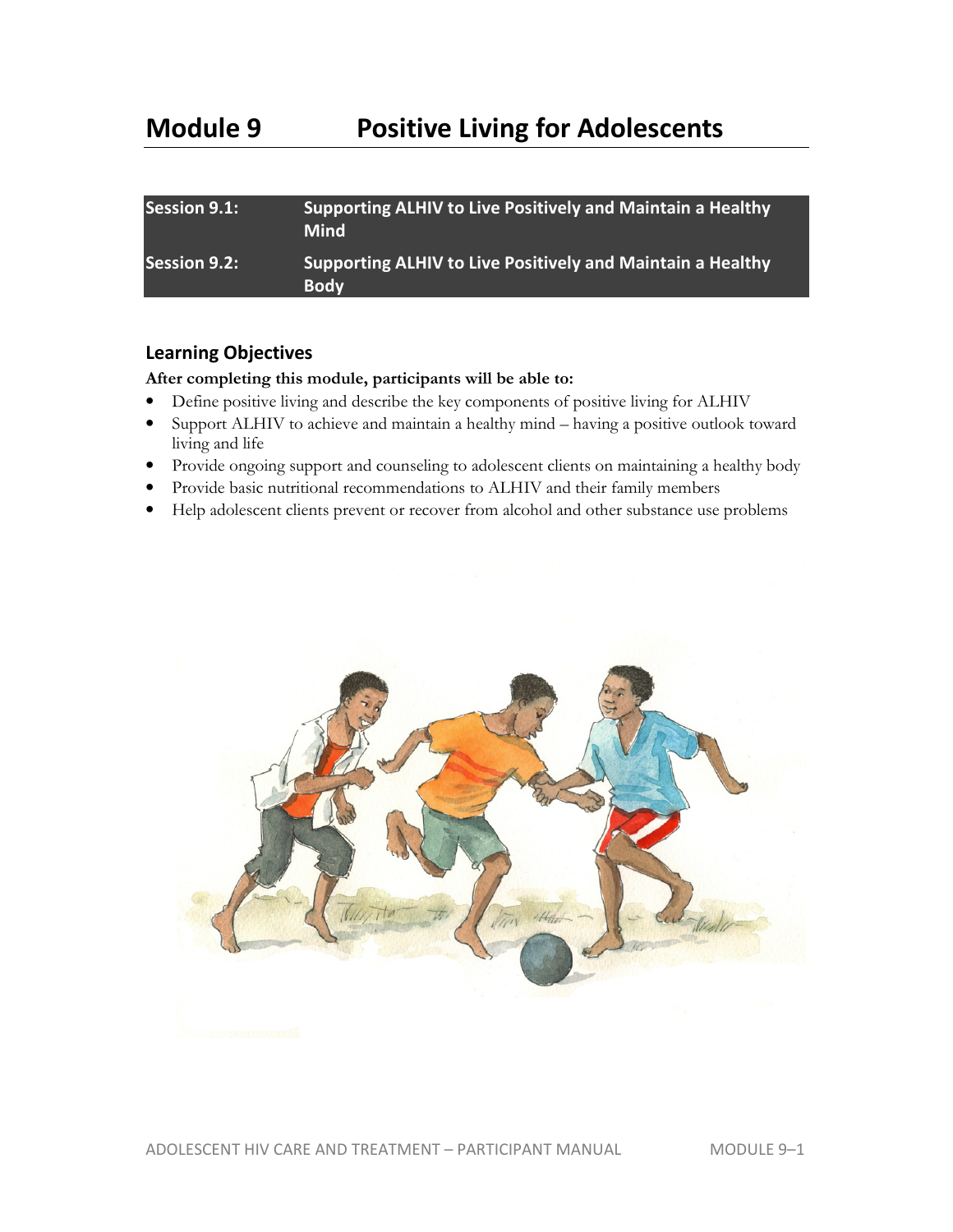# **Module 9 Positive Living for Adolescents**

| <b>Session 9.1:</b> | Supporting ALHIV to Live Positively and Maintain a Healthy<br><b>Mind</b> |
|---------------------|---------------------------------------------------------------------------|
| <b>Session 9.2:</b> | Supporting ALHIV to Live Positively and Maintain a Healthy<br><b>Body</b> |

## **Learning Objectives**

## **After completing this module, participants will be able to:**

- Define positive living and describe the key components of positive living for ALHIV
- Support ALHIV to achieve and maintain a healthy mind having a positive outlook toward living and life
- Provide ongoing support and counseling to adolescent clients on maintaining a healthy body
- Provide basic nutritional recommendations to ALHIV and their family members
- Help adolescent clients prevent or recover from alcohol and other substance use problems

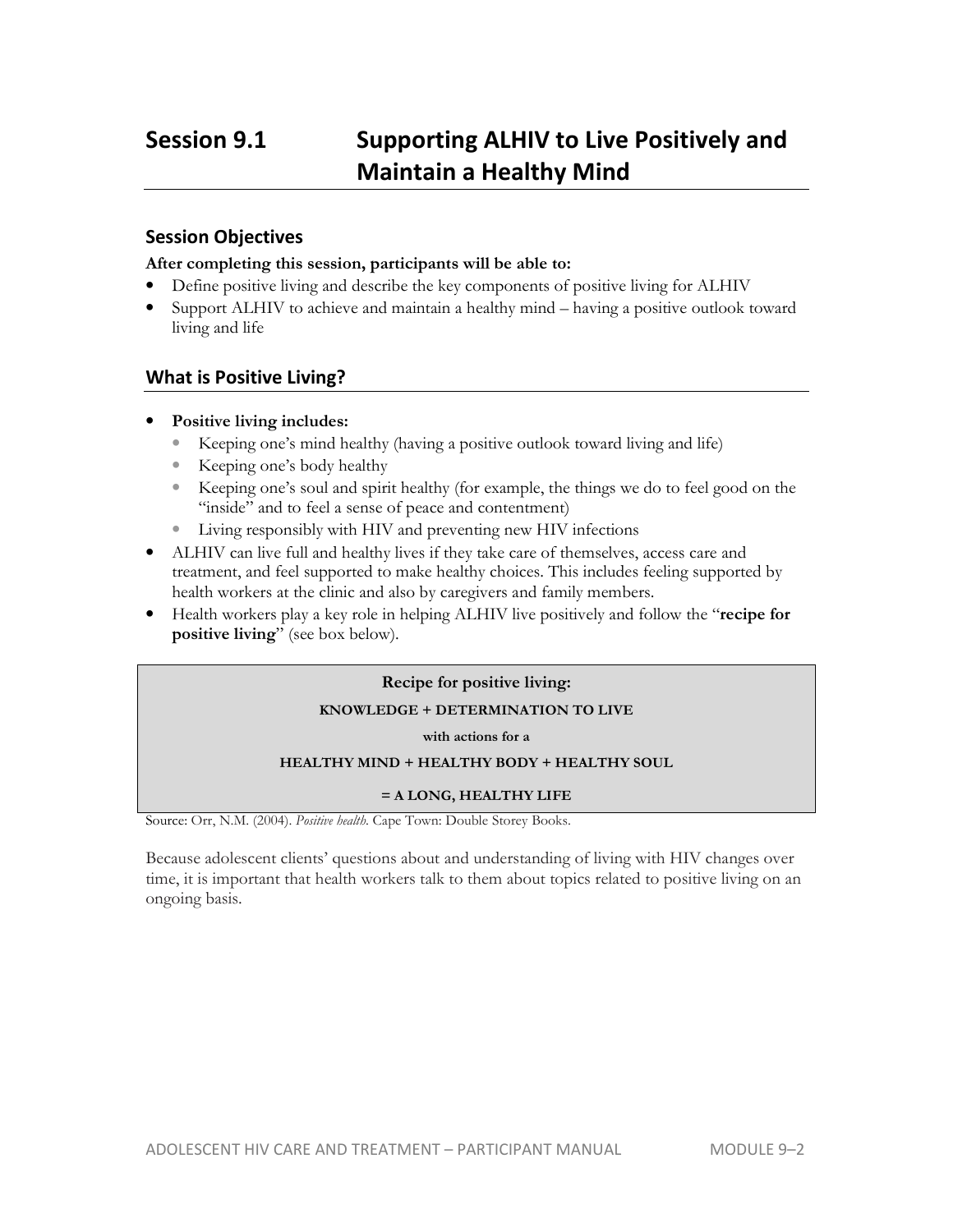## **Session 9.1 Supporting ALHIV to Live Positively and Maintain a Healthy Mind**

## **Session Objectives**

### **After completing this session, participants will be able to:**

- Define positive living and describe the key components of positive living for ALHIV
- Support ALHIV to achieve and maintain a healthy mind having a positive outlook toward living and life

## **What is Positive Living?**

- **Positive living includes:** 
	- Keeping one's mind healthy (having a positive outlook toward living and life)
	- Keeping one's body healthy
	- Keeping one's soul and spirit healthy (for example, the things we do to feel good on the "inside" and to feel a sense of peace and contentment)
	- Living responsibly with HIV and preventing new HIV infections
- ALHIV can live full and healthy lives if they take care of themselves, access care and treatment, and feel supported to make healthy choices. This includes feeling supported by health workers at the clinic and also by caregivers and family members.
- Health workers play a key role in helping ALHIV live positively and follow the "**recipe for positive living**" (see box below).

#### **Recipe for positive living:**

#### **KNOWLEDGE + DETERMINATION TO LIVE**

**with actions for a** 

#### **HEALTHY MIND + HEALTHY BODY + HEALTHY SOUL**

#### **= A LONG, HEALTHY LIFE**

Source: Orr, N.M. (2004). *Positive health*. Cape Town: Double Storey Books.

Because adolescent clients' questions about and understanding of living with HIV changes over time, it is important that health workers talk to them about topics related to positive living on an ongoing basis.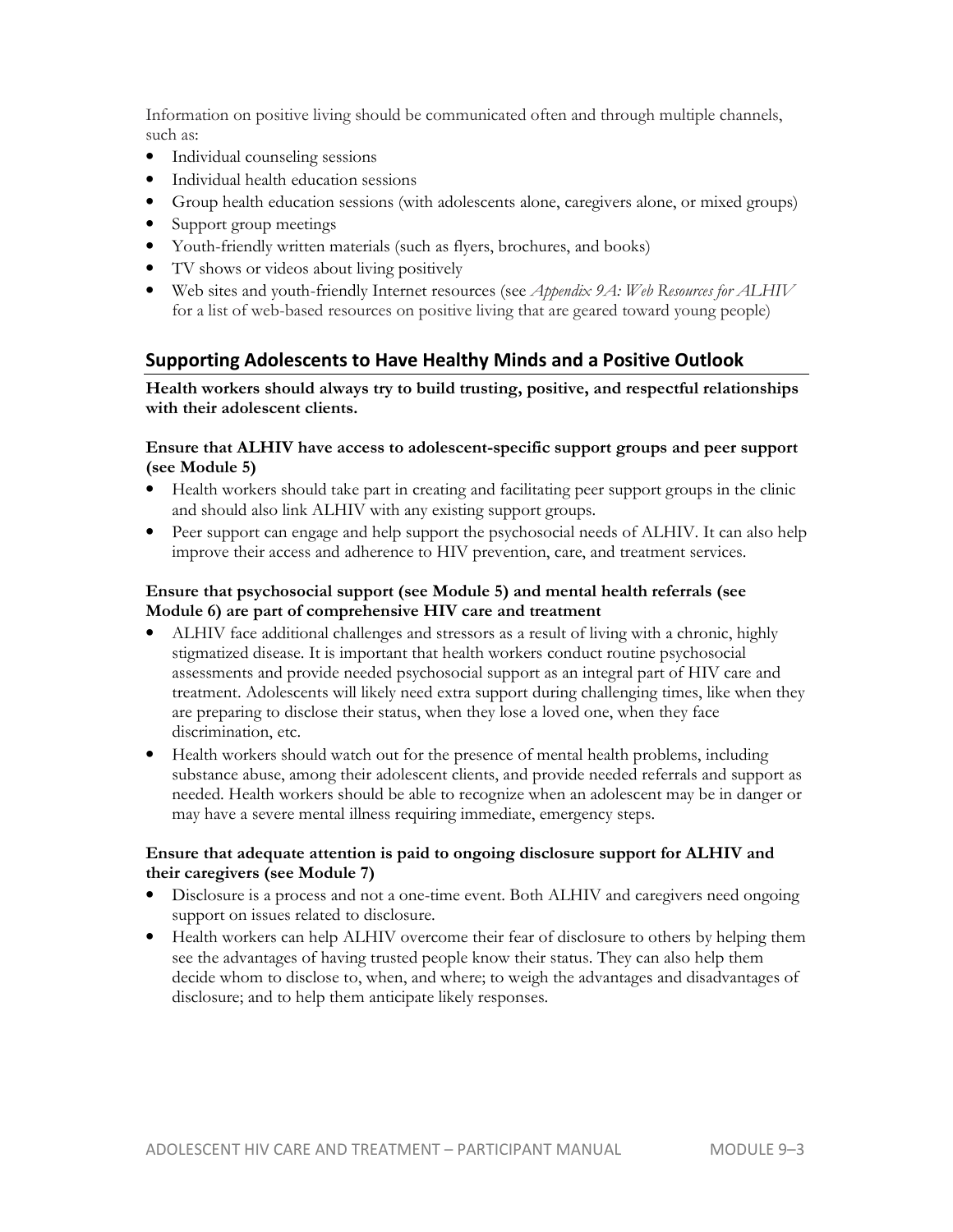Information on positive living should be communicated often and through multiple channels, such as:

- Individual counseling sessions
- Individual health education sessions
- Group health education sessions (with adolescents alone, caregivers alone, or mixed groups)
- Support group meetings
- Youth-friendly written materials (such as flyers, brochures, and books)
- TV shows or videos about living positively
- Web sites and youth-friendly Internet resources (see *Appendix 9A: Web Resources for ALHIV* for a list of web-based resources on positive living that are geared toward young people)

## **Supporting Adolescents to Have Healthy Minds and a Positive Outlook**

**Health workers should always try to build trusting, positive, and respectful relationships with their adolescent clients.** 

#### **Ensure that ALHIV have access to adolescent-specific support groups and peer support (see Module 5)**

- Health workers should take part in creating and facilitating peer support groups in the clinic and should also link ALHIV with any existing support groups.
- Peer support can engage and help support the psychosocial needs of ALHIV. It can also help improve their access and adherence to HIV prevention, care, and treatment services.

### **Ensure that psychosocial support (see Module 5) and mental health referrals (see Module 6) are part of comprehensive HIV care and treatment**

- ALHIV face additional challenges and stressors as a result of living with a chronic, highly stigmatized disease. It is important that health workers conduct routine psychosocial assessments and provide needed psychosocial support as an integral part of HIV care and treatment. Adolescents will likely need extra support during challenging times, like when they are preparing to disclose their status, when they lose a loved one, when they face discrimination, etc.
- Health workers should watch out for the presence of mental health problems, including substance abuse, among their adolescent clients, and provide needed referrals and support as needed. Health workers should be able to recognize when an adolescent may be in danger or may have a severe mental illness requiring immediate, emergency steps.

## **Ensure that adequate attention is paid to ongoing disclosure support for ALHIV and their caregivers (see Module 7)**

- Disclosure is a process and not a one-time event. Both ALHIV and caregivers need ongoing support on issues related to disclosure.
- Health workers can help ALHIV overcome their fear of disclosure to others by helping them see the advantages of having trusted people know their status. They can also help them decide whom to disclose to, when, and where; to weigh the advantages and disadvantages of disclosure; and to help them anticipate likely responses.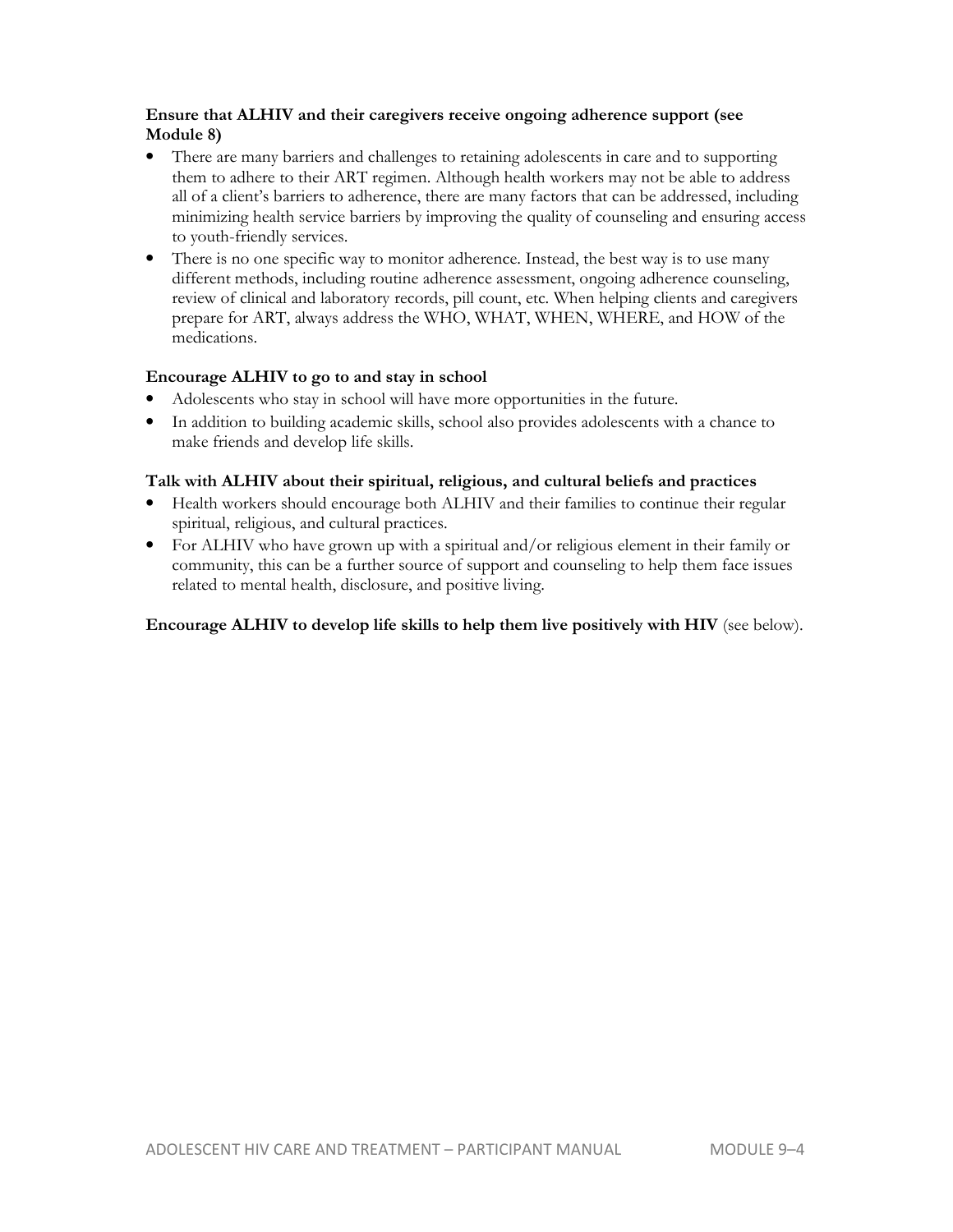## **Ensure that ALHIV and their caregivers receive ongoing adherence support (see Module 8)**

- There are many barriers and challenges to retaining adolescents in care and to supporting them to adhere to their ART regimen. Although health workers may not be able to address all of a client's barriers to adherence, there are many factors that can be addressed, including minimizing health service barriers by improving the quality of counseling and ensuring access to youth-friendly services.
- There is no one specific way to monitor adherence. Instead, the best way is to use many different methods, including routine adherence assessment, ongoing adherence counseling, review of clinical and laboratory records, pill count, etc. When helping clients and caregivers prepare for ART, always address the WHO, WHAT, WHEN, WHERE, and HOW of the medications.

## **Encourage ALHIV to go to and stay in school**

- Adolescents who stay in school will have more opportunities in the future.
- In addition to building academic skills, school also provides adolescents with a chance to make friends and develop life skills.

### **Talk with ALHIV about their spiritual, religious, and cultural beliefs and practices**

- Health workers should encourage both ALHIV and their families to continue their regular spiritual, religious, and cultural practices.
- For ALHIV who have grown up with a spiritual and/or religious element in their family or community, this can be a further source of support and counseling to help them face issues related to mental health, disclosure, and positive living.

## **Encourage ALHIV to develop life skills to help them live positively with HIV** (see below).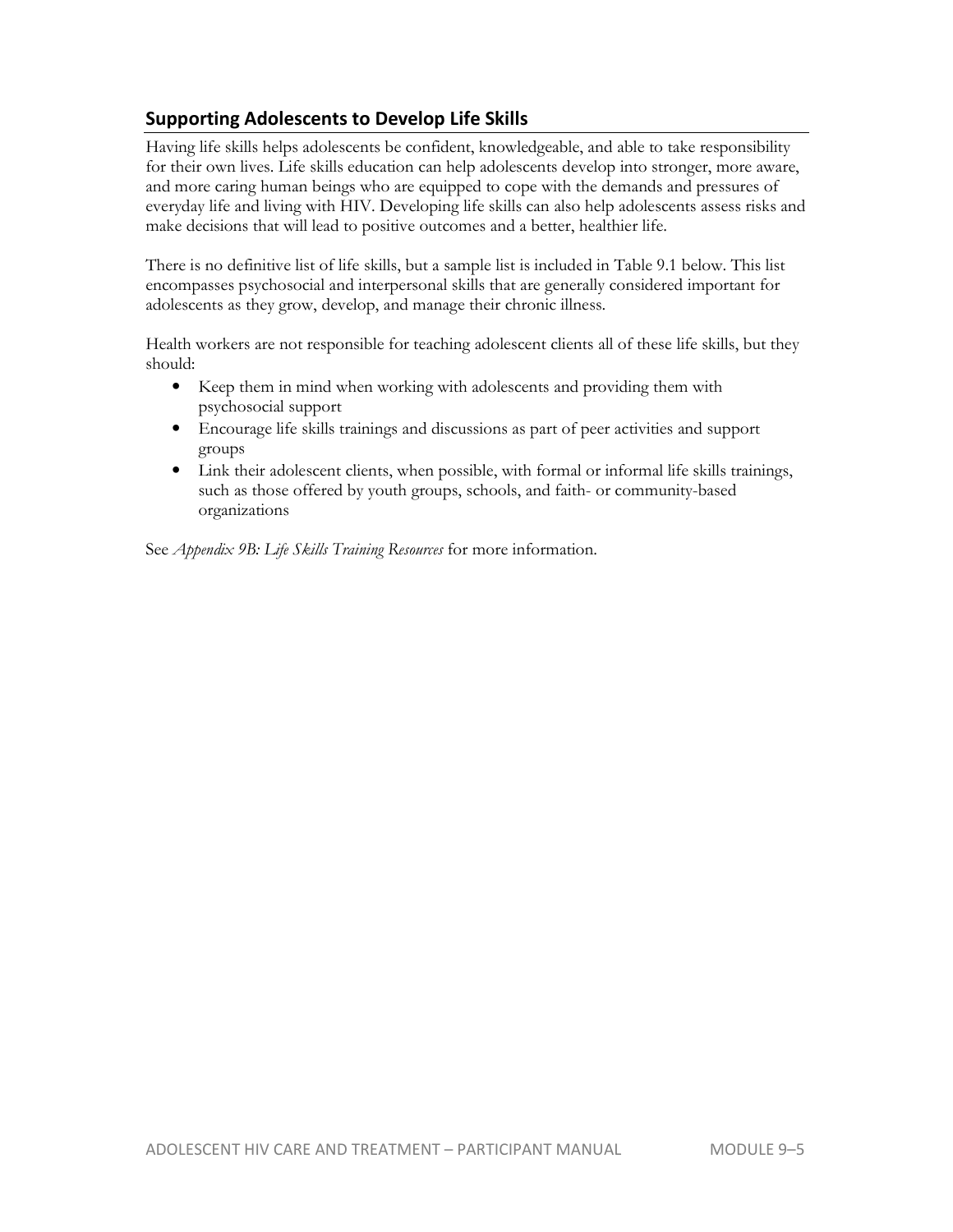## **Supporting Adolescents to Develop Life Skills**

Having life skills helps adolescents be confident, knowledgeable, and able to take responsibility for their own lives. Life skills education can help adolescents develop into stronger, more aware, and more caring human beings who are equipped to cope with the demands and pressures of everyday life and living with HIV. Developing life skills can also help adolescents assess risks and make decisions that will lead to positive outcomes and a better, healthier life.

There is no definitive list of life skills, but a sample list is included in Table 9.1 below. This list encompasses psychosocial and interpersonal skills that are generally considered important for adolescents as they grow, develop, and manage their chronic illness.

Health workers are not responsible for teaching adolescent clients all of these life skills, but they should:

- Keep them in mind when working with adolescents and providing them with psychosocial support
- Encourage life skills trainings and discussions as part of peer activities and support groups
- Link their adolescent clients, when possible, with formal or informal life skills trainings, such as those offered by youth groups, schools, and faith- or community-based organizations

See *Appendix 9B: Life Skills Training Resources* for more information.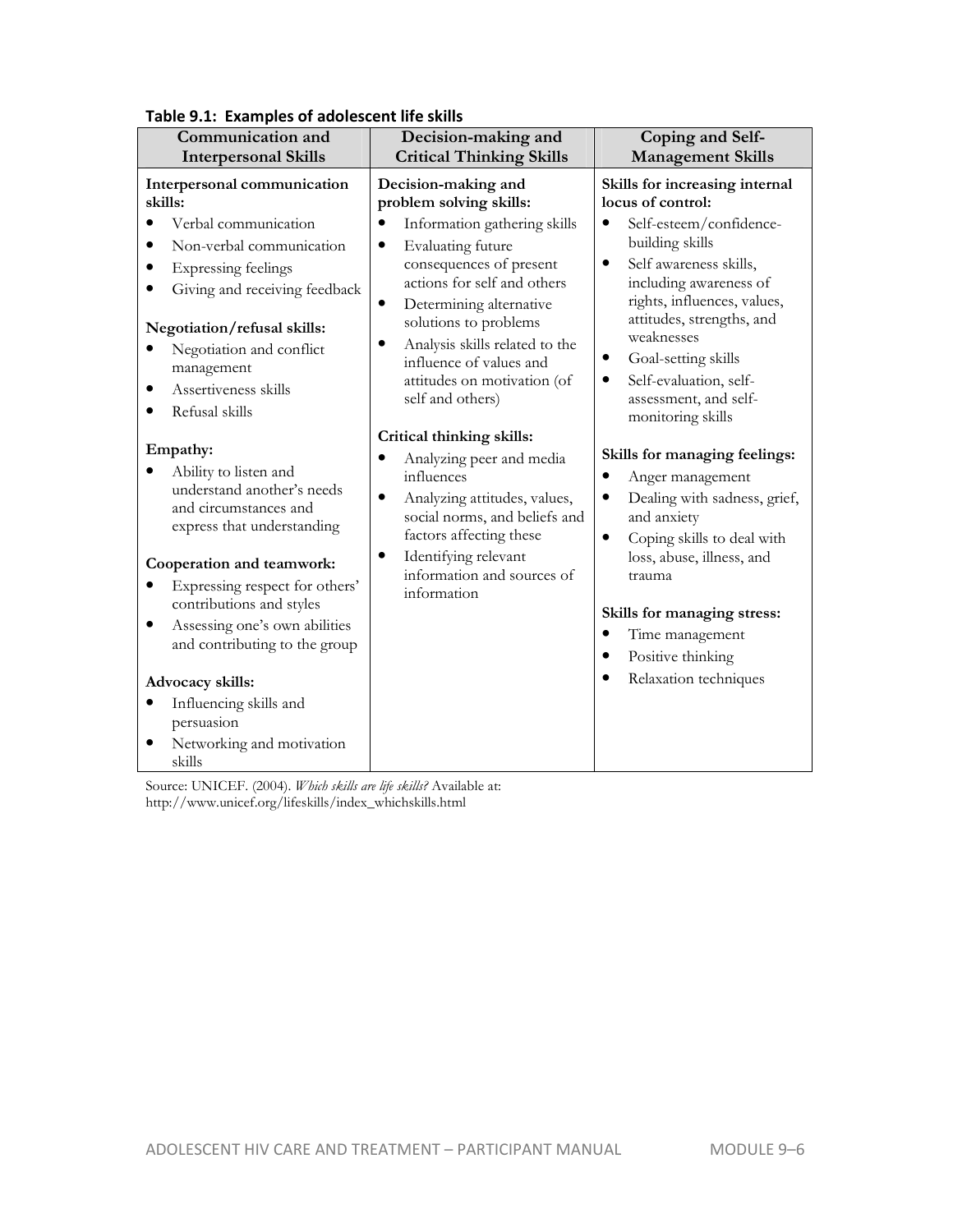| Communication and                                                                                                                                                                                                                                                                                                                                                                                                                  | Decision-making and                                                                                                                                                                                                                                                                               | Coping and Self-                                                                                                                                                                                                                                                                                                                                    |
|------------------------------------------------------------------------------------------------------------------------------------------------------------------------------------------------------------------------------------------------------------------------------------------------------------------------------------------------------------------------------------------------------------------------------------|---------------------------------------------------------------------------------------------------------------------------------------------------------------------------------------------------------------------------------------------------------------------------------------------------|-----------------------------------------------------------------------------------------------------------------------------------------------------------------------------------------------------------------------------------------------------------------------------------------------------------------------------------------------------|
| <b>Interpersonal Skills</b>                                                                                                                                                                                                                                                                                                                                                                                                        | <b>Critical Thinking Skills</b>                                                                                                                                                                                                                                                                   | <b>Management Skills</b>                                                                                                                                                                                                                                                                                                                            |
| Interpersonal communication<br>skills:                                                                                                                                                                                                                                                                                                                                                                                             | Decision-making and<br>problem solving skills:                                                                                                                                                                                                                                                    | Skills for increasing internal<br>locus of control:                                                                                                                                                                                                                                                                                                 |
| Verbal communication<br>$\bullet$<br>Non-verbal communication<br>Expressing feelings<br>٠<br>Giving and receiving feedback<br>Negotiation/refusal skills:<br>Negotiation and conflict<br>management<br>Assertiveness skills<br>$\bullet$<br>Refusal skills                                                                                                                                                                         | Information gathering skills<br>Evaluating future<br>$\bullet$<br>consequences of present<br>actions for self and others<br>Determining alternative<br>٠<br>solutions to problems<br>Analysis skills related to the<br>influence of values and<br>attitudes on motivation (of<br>self and others) | $\bullet$<br>Self-esteem/confidence-<br>building skills<br>Self awareness skills,<br>$\bullet$<br>including awareness of<br>rights, influences, values,<br>attitudes, strengths, and<br>weaknesses<br>Goal-setting skills<br>$\bullet$<br>Self-evaluation, self-<br>$\bullet$<br>assessment, and self-<br>monitoring skills                         |
| Empathy:<br>Ability to listen and<br>understand another's needs<br>and circumstances and<br>express that understanding<br>Cooperation and teamwork:<br>Expressing respect for others'<br>٠<br>contributions and styles<br>Assessing one's own abilities<br>$\bullet$<br>and contributing to the group<br>Advocacy skills:<br>Influencing skills and<br>$\bullet$<br>persuasion<br>Networking and motivation<br>$\bullet$<br>skills | Critical thinking skills:<br>Analyzing peer and media<br>influences<br>Analyzing attitudes, values,<br>$\bullet$<br>social norms, and beliefs and<br>factors affecting these<br>Identifying relevant<br>$\bullet$<br>information and sources of<br>information                                    | Skills for managing feelings:<br>$\bullet$<br>Anger management<br>Dealing with sadness, grief,<br>$\bullet$<br>and anxiety<br>Coping skills to deal with<br>$\bullet$<br>loss, abuse, illness, and<br>trauma<br>Skills for managing stress:<br>Time management<br>$\bullet$<br>Positive thinking<br>$\bullet$<br>Relaxation techniques<br>$\bullet$ |

## **Table 9.1: Examples of adolescent life skills**

http://www.unicef.org/lifeskills/index\_whichskills.html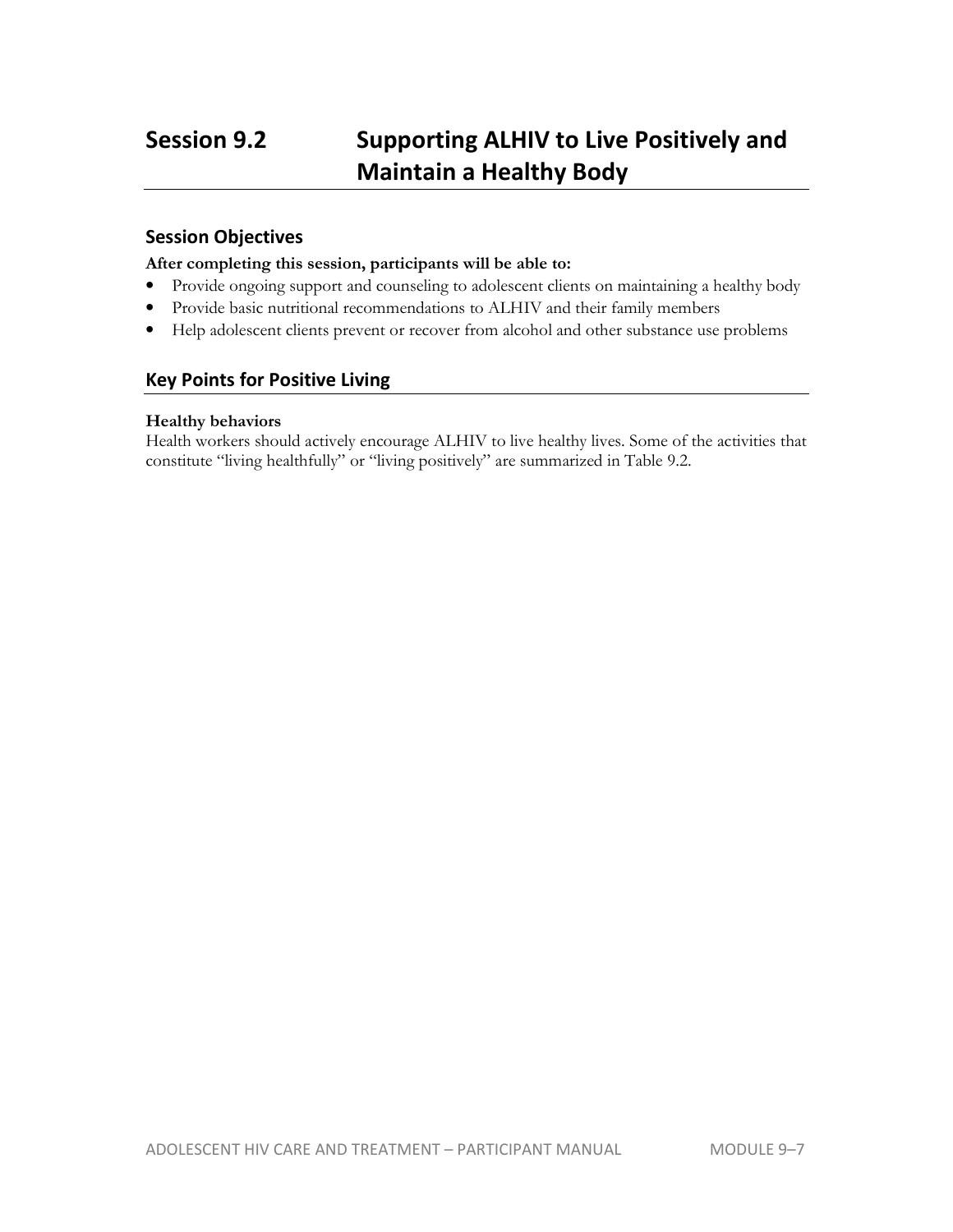## **Session 9.2 Supporting ALHIV to Live Positively and Maintain a Healthy Body**

## **Session Objectives**

#### **After completing this session, participants will be able to:**

- Provide ongoing support and counseling to adolescent clients on maintaining a healthy body
- Provide basic nutritional recommendations to ALHIV and their family members
- Help adolescent clients prevent or recover from alcohol and other substance use problems

## **Key Points for Positive Living**

#### **Healthy behaviors**

Health workers should actively encourage ALHIV to live healthy lives. Some of the activities that constitute "living healthfully" or "living positively" are summarized in Table 9.2.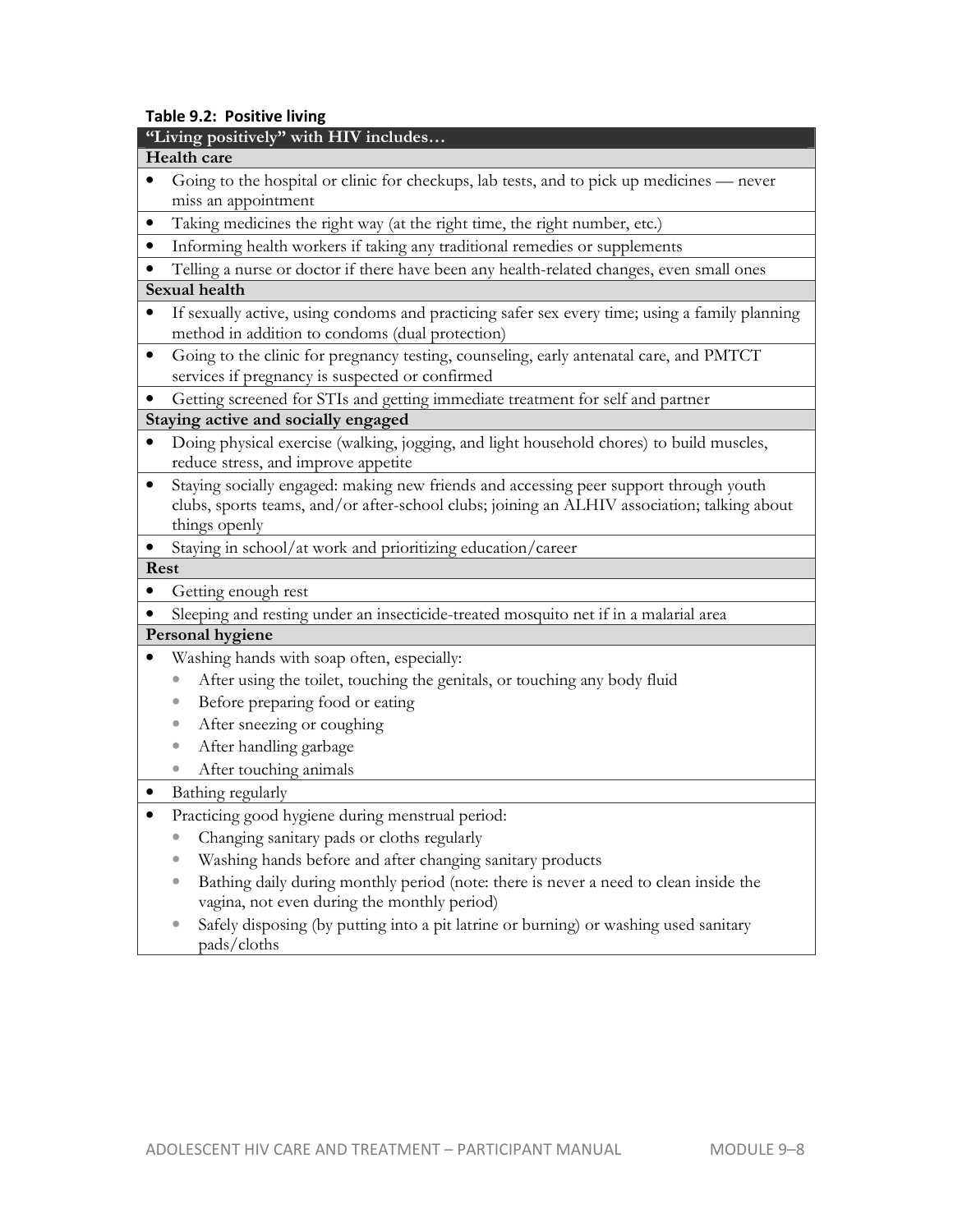#### **Table 9.2: Positive living**

#### **Health care**

- Going to the hospital or clinic for checkups, lab tests, and to pick up medicines never miss an appointment
- Taking medicines the right way (at the right time, the right number, etc.)
- Informing health workers if taking any traditional remedies or supplements
- Telling a nurse or doctor if there have been any health-related changes, even small ones **Sexual health**
- If sexually active, using condoms and practicing safer sex every time; using a family planning method in addition to condoms (dual protection)
- Going to the clinic for pregnancy testing, counseling, early antenatal care, and PMTCT services if pregnancy is suspected or confirmed
- Getting screened for STIs and getting immediate treatment for self and partner

### **Staying active and socially engaged**

- Doing physical exercise (walking, jogging, and light household chores) to build muscles, reduce stress, and improve appetite
- Staying socially engaged: making new friends and accessing peer support through youth clubs, sports teams, and/or after-school clubs; joining an ALHIV association; talking about things openly
- Staying in school/at work and prioritizing education/career

## **Rest**

- Getting enough rest
- Sleeping and resting under an insecticide-treated mosquito net if in a malarial area

## **Personal hygiene**

- Washing hands with soap often, especially:
	- After using the toilet, touching the genitals, or touching any body fluid
	- Before preparing food or eating
	- After sneezing or coughing
	- After handling garbage
	- After touching animals
- Bathing regularly
- Practicing good hygiene during menstrual period:
	- Changing sanitary pads or cloths regularly
	- Washing hands before and after changing sanitary products
	- Bathing daily during monthly period (note: there is never a need to clean inside the vagina, not even during the monthly period)
	- Safely disposing (by putting into a pit latrine or burning) or washing used sanitary pads/cloths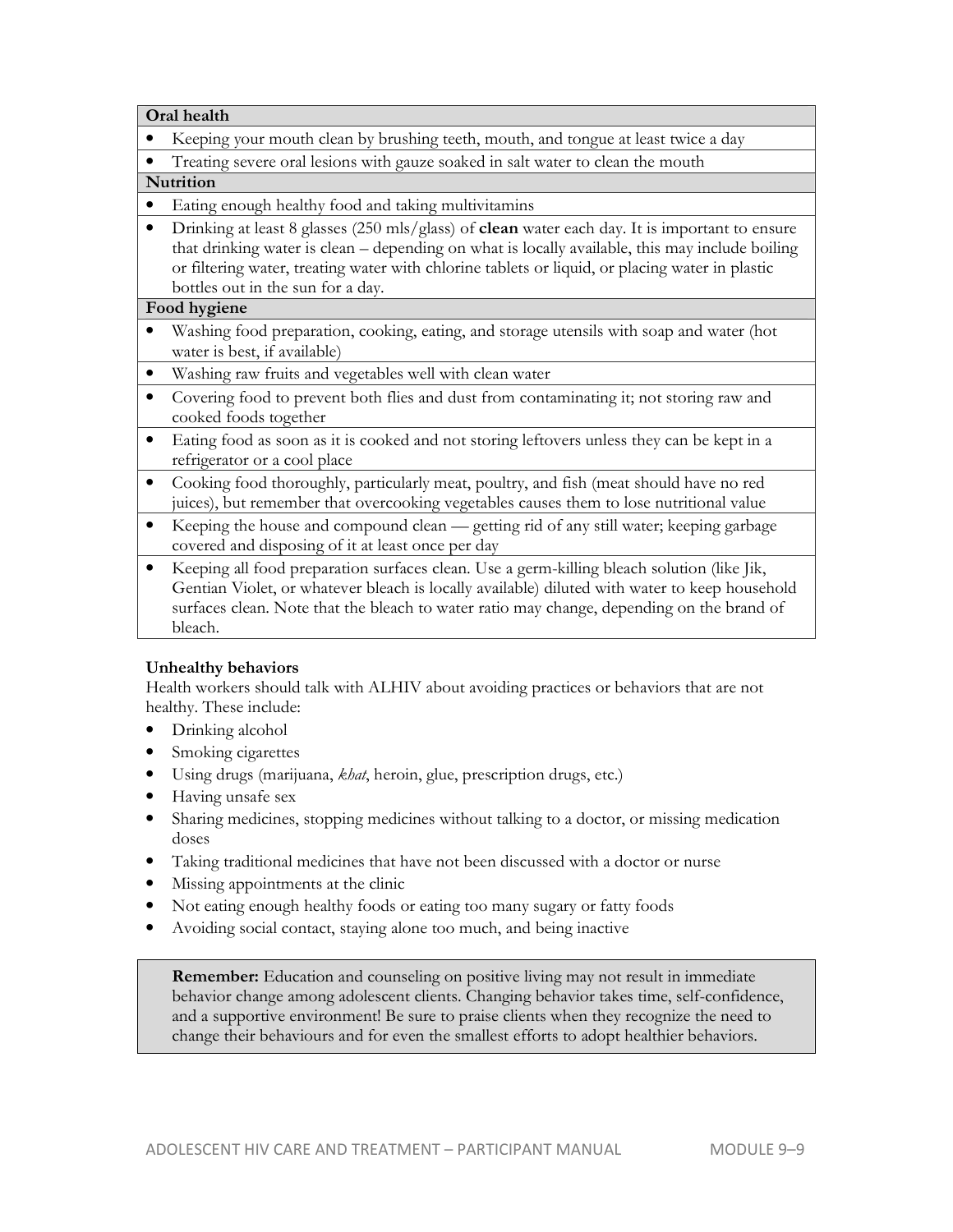**Oral health**

- Keeping your mouth clean by brushing teeth, mouth, and tongue at least twice a day
- Treating severe oral lesions with gauze soaked in salt water to clean the mouth

### **Nutrition**

- Eating enough healthy food and taking multivitamins
- Drinking at least 8 glasses (250 mls/glass) of **clean** water each day. It is important to ensure that drinking water is clean – depending on what is locally available, this may include boiling or filtering water, treating water with chlorine tablets or liquid, or placing water in plastic bottles out in the sun for a day.

### **Food hygiene**

- Washing food preparation, cooking, eating, and storage utensils with soap and water (hot water is best, if available)
- Washing raw fruits and vegetables well with clean water
- Covering food to prevent both flies and dust from contaminating it; not storing raw and cooked foods together
- Eating food as soon as it is cooked and not storing leftovers unless they can be kept in a refrigerator or a cool place
- Cooking food thoroughly, particularly meat, poultry, and fish (meat should have no red juices), but remember that overcooking vegetables causes them to lose nutritional value
- Keeping the house and compound clean getting rid of any still water; keeping garbage covered and disposing of it at least once per day
- Keeping all food preparation surfaces clean. Use a germ-killing bleach solution (like Jik, Gentian Violet, or whatever bleach is locally available) diluted with water to keep household surfaces clean. Note that the bleach to water ratio may change, depending on the brand of bleach.

## **Unhealthy behaviors**

Health workers should talk with ALHIV about avoiding practices or behaviors that are not healthy. These include:

- Drinking alcohol
- Smoking cigarettes
- Using drugs (marijuana, *khat*, heroin, glue, prescription drugs, etc.)
- Having unsafe sex
- Sharing medicines, stopping medicines without talking to a doctor, or missing medication doses
- Taking traditional medicines that have not been discussed with a doctor or nurse
- Missing appointments at the clinic
- Not eating enough healthy foods or eating too many sugary or fatty foods
- Avoiding social contact, staying alone too much, and being inactive

**Remember:** Education and counseling on positive living may not result in immediate behavior change among adolescent clients. Changing behavior takes time, self-confidence, and a supportive environment! Be sure to praise clients when they recognize the need to change their behaviours and for even the smallest efforts to adopt healthier behaviors.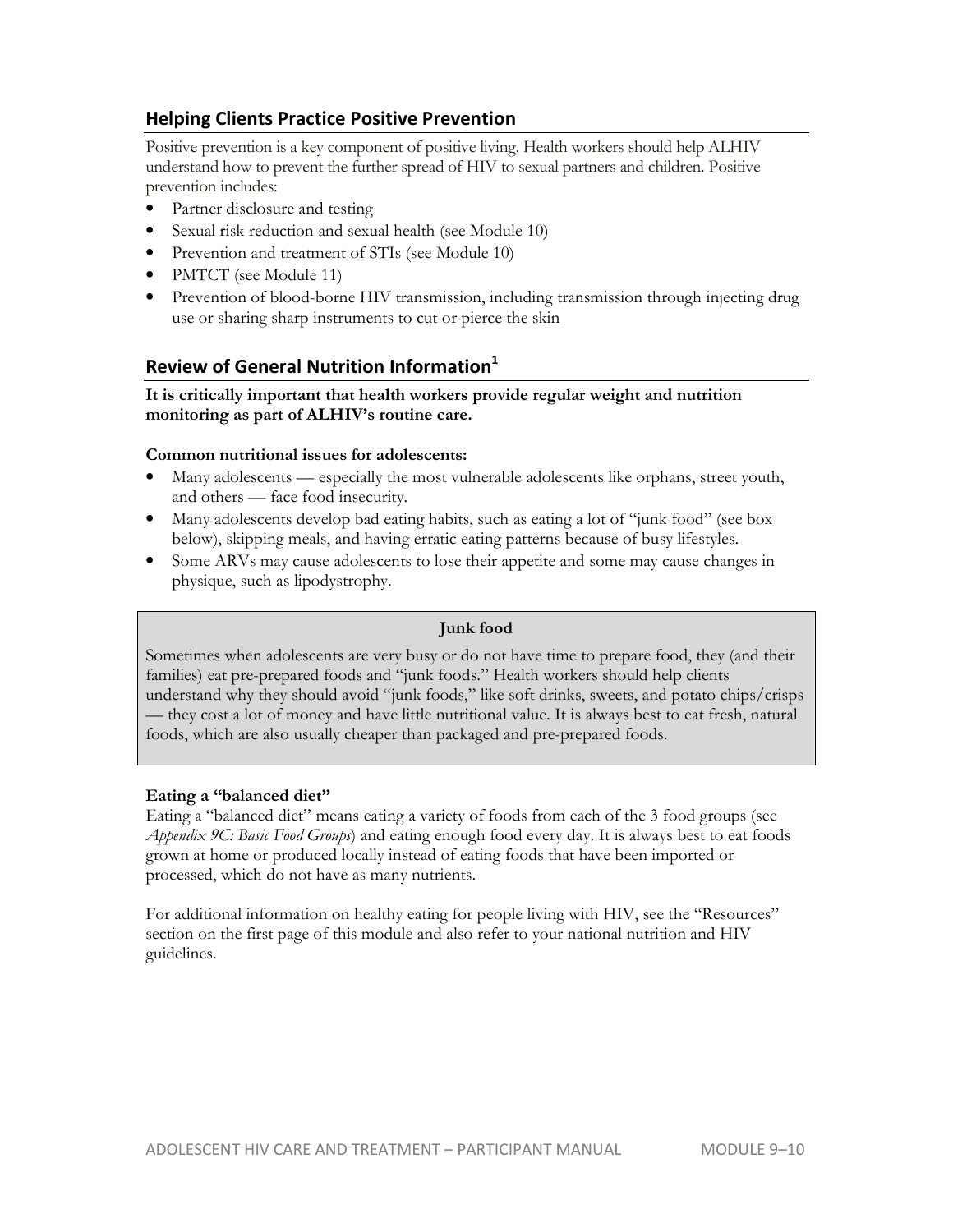## **Helping Clients Practice Positive Prevention**

Positive prevention is a key component of positive living. Health workers should help ALHIV understand how to prevent the further spread of HIV to sexual partners and children. Positive prevention includes:

- Partner disclosure and testing
- Sexual risk reduction and sexual health (see Module 10)
- Prevention and treatment of STIs (see Module 10)
- PMTCT (see Module 11)
- Prevention of blood-borne HIV transmission, including transmission through injecting drug use or sharing sharp instruments to cut or pierce the skin

## **Review of General Nutrition Information<sup>1</sup>**

**It is critically important that health workers provide regular weight and nutrition monitoring as part of ALHIV's routine care.** 

### **Common nutritional issues for adolescents:**

- Many adolescents especially the most vulnerable adolescents like orphans, street youth, and others — face food insecurity.
- Many adolescents develop bad eating habits, such as eating a lot of "junk food" (see box below), skipping meals, and having erratic eating patterns because of busy lifestyles.
- Some ARVs may cause adolescents to lose their appetite and some may cause changes in physique, such as lipodystrophy.

### **Junk food**

Sometimes when adolescents are very busy or do not have time to prepare food, they (and their families) eat pre-prepared foods and "junk foods." Health workers should help clients understand why they should avoid "junk foods," like soft drinks, sweets, and potato chips/crisps — they cost a lot of money and have little nutritional value. It is always best to eat fresh, natural foods, which are also usually cheaper than packaged and pre-prepared foods.

### **Eating a "balanced diet"**

Eating a "balanced diet" means eating a variety of foods from each of the 3 food groups (see *Appendix 9C: Basic Food Groups*) and eating enough food every day. It is always best to eat foods grown at home or produced locally instead of eating foods that have been imported or processed, which do not have as many nutrients.

For additional information on healthy eating for people living with HIV, see the "Resources" section on the first page of this module and also refer to your national nutrition and HIV guidelines.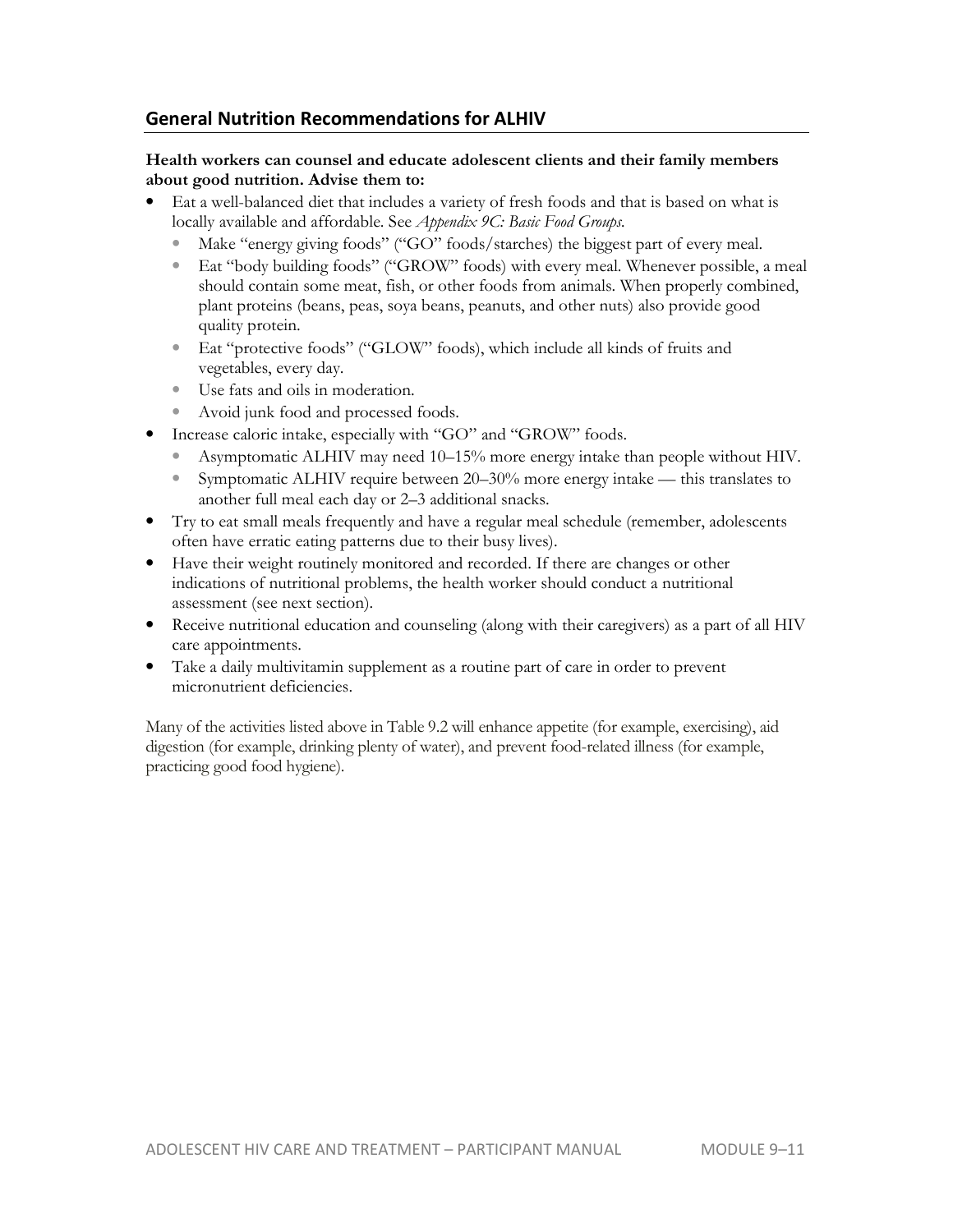## **General Nutrition Recommendations for ALHIV**

### **Health workers can counsel and educate adolescent clients and their family members about good nutrition. Advise them to:**

- Eat a well-balanced diet that includes a variety of fresh foods and that is based on what is locally available and affordable. See *Appendix 9C: Basic Food Groups.*
	- Make "energy giving foods" ("GO" foods/starches) the biggest part of every meal.
	- Eat "body building foods" ("GROW" foods) with every meal. Whenever possible, a meal should contain some meat, fish, or other foods from animals. When properly combined, plant proteins (beans, peas, soya beans, peanuts, and other nuts) also provide good quality protein.
	- Eat "protective foods" ("GLOW" foods), which include all kinds of fruits and vegetables, every day.
	- Use fats and oils in moderation.
	- Avoid junk food and processed foods.
- Increase caloric intake, especially with "GO" and "GROW" foods.
	- Asymptomatic ALHIV may need 10–15% more energy intake than people without HIV.
	- Symptomatic ALHIV require between 20–30% more energy intake this translates to another full meal each day or 2–3 additional snacks.
- Try to eat small meals frequently and have a regular meal schedule (remember, adolescents often have erratic eating patterns due to their busy lives).
- Have their weight routinely monitored and recorded. If there are changes or other indications of nutritional problems, the health worker should conduct a nutritional assessment (see next section).
- Receive nutritional education and counseling (along with their caregivers) as a part of all HIV care appointments.
- Take a daily multivitamin supplement as a routine part of care in order to prevent micronutrient deficiencies.

Many of the activities listed above in Table 9.2 will enhance appetite (for example, exercising), aid digestion (for example, drinking plenty of water), and prevent food-related illness (for example, practicing good food hygiene).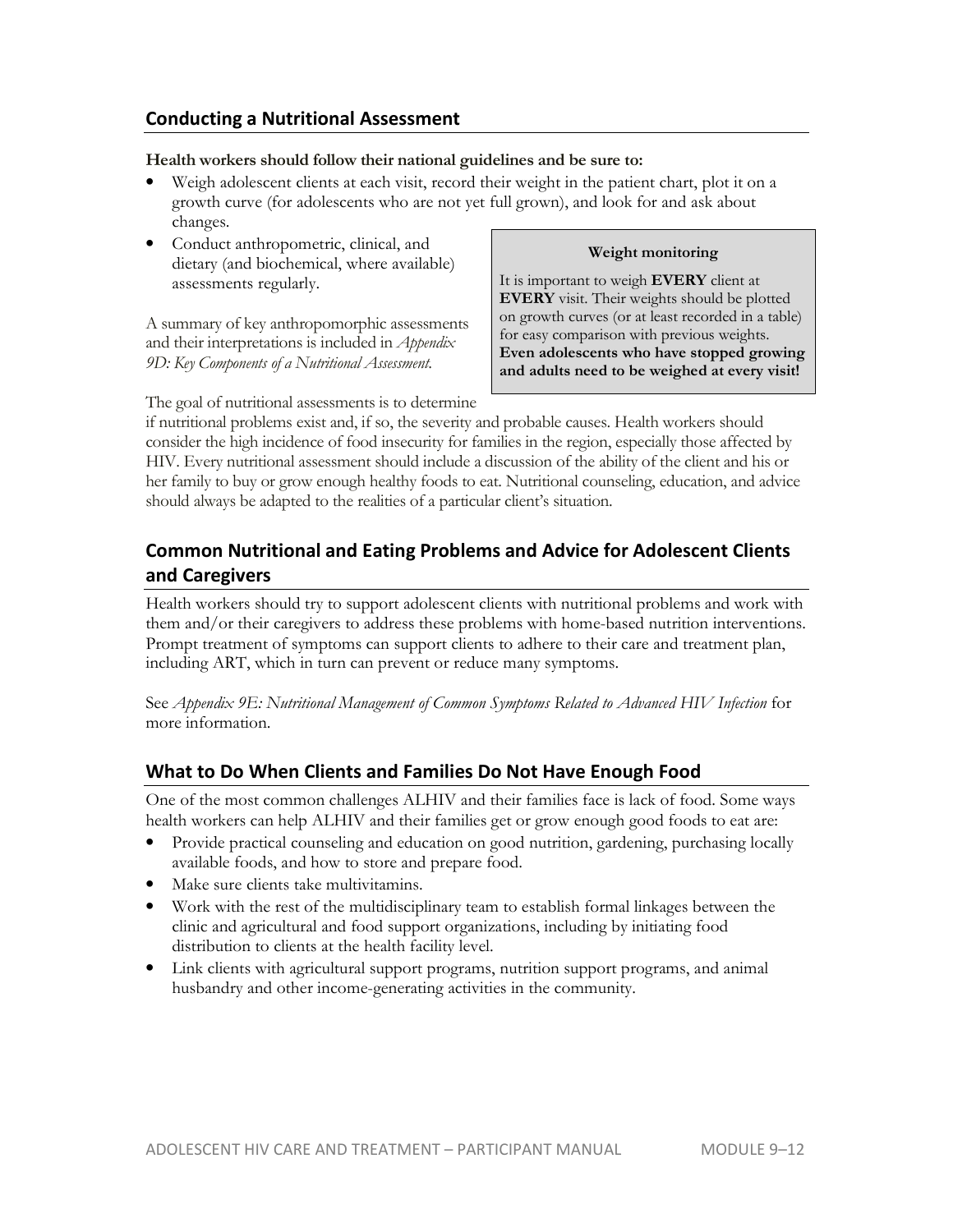## **Conducting a Nutritional Assessment**

#### **Health workers should follow their national guidelines and be sure to:**

- Weigh adolescent clients at each visit, record their weight in the patient chart, plot it on a growth curve (for adolescents who are not yet full grown), and look for and ask about changes.
- Conduct anthropometric, clinical, and dietary (and biochemical, where available) assessments regularly.

A summary of key anthropomorphic assessments and their interpretations is included in *Appendix 9D: Key Components of a Nutritional Assessment*.

#### **Weight monitoring**

It is important to weigh **EVERY** client at **EVERY** visit. Their weights should be plotted on growth curves (or at least recorded in a table) for easy comparison with previous weights. **Even adolescents who have stopped growing and adults need to be weighed at every visit!**

The goal of nutritional assessments is to determine

if nutritional problems exist and, if so, the severity and probable causes. Health workers should consider the high incidence of food insecurity for families in the region, especially those affected by HIV. Every nutritional assessment should include a discussion of the ability of the client and his or her family to buy or grow enough healthy foods to eat. Nutritional counseling, education, and advice should always be adapted to the realities of a particular client's situation.

## **Common Nutritional and Eating Problems and Advice for Adolescent Clients and Caregivers**

Health workers should try to support adolescent clients with nutritional problems and work with them and/or their caregivers to address these problems with home-based nutrition interventions. Prompt treatment of symptoms can support clients to adhere to their care and treatment plan, including ART, which in turn can prevent or reduce many symptoms.

See *Appendix 9E: Nutritional Management of Common Symptoms Related to Advanced HIV Infection* for more information.

## **What to Do When Clients and Families Do Not Have Enough Food**

One of the most common challenges ALHIV and their families face is lack of food. Some ways health workers can help ALHIV and their families get or grow enough good foods to eat are:

- Provide practical counseling and education on good nutrition, gardening, purchasing locally available foods, and how to store and prepare food.
- Make sure clients take multivitamins.
- Work with the rest of the multidisciplinary team to establish formal linkages between the clinic and agricultural and food support organizations, including by initiating food distribution to clients at the health facility level.
- Link clients with agricultural support programs, nutrition support programs, and animal husbandry and other income-generating activities in the community.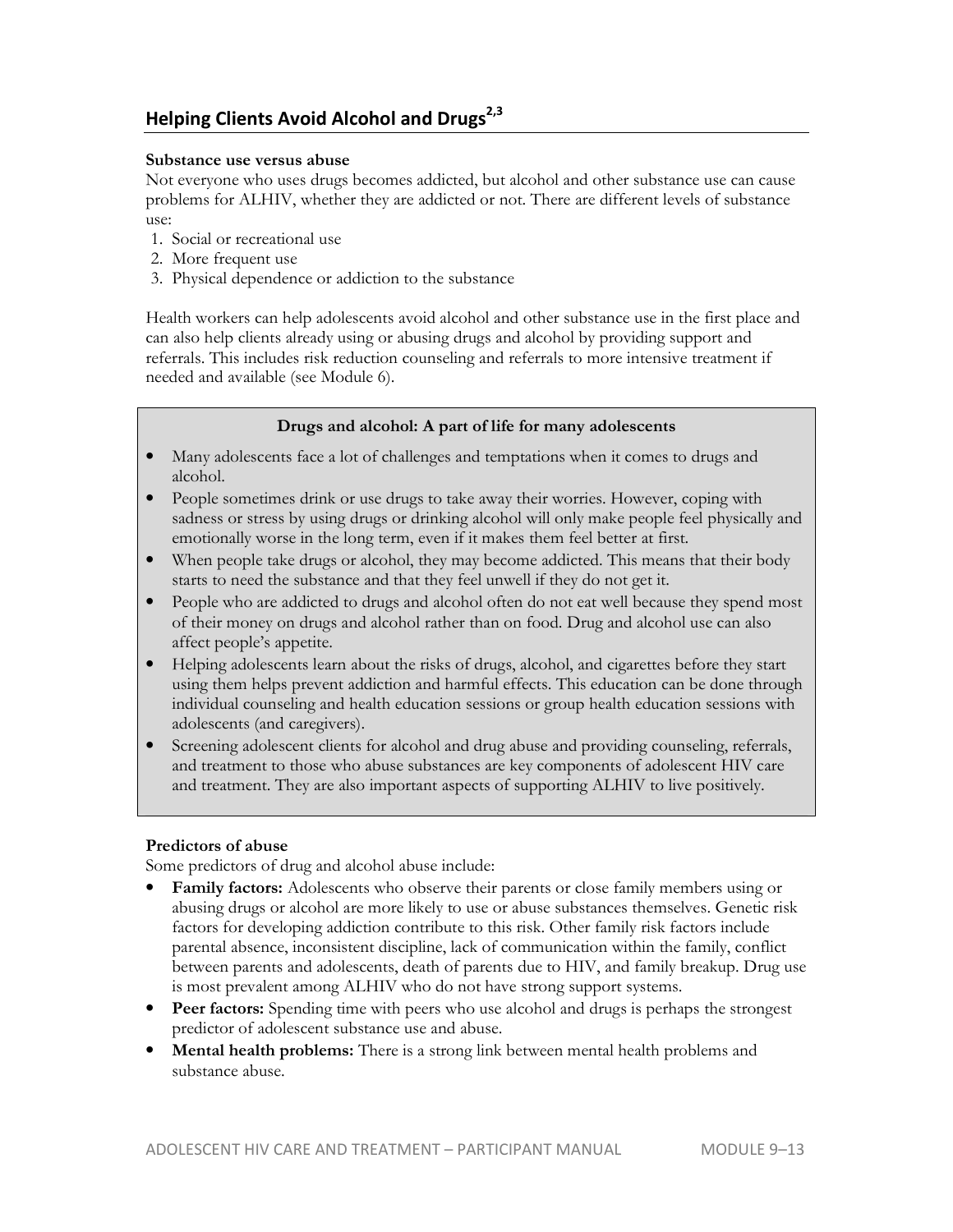## **Helping Clients Avoid Alcohol and Drugs2,3**

#### **Substance use versus abuse**

Not everyone who uses drugs becomes addicted, but alcohol and other substance use can cause problems for ALHIV, whether they are addicted or not. There are different levels of substance use:

- 1. Social or recreational use
- 2. More frequent use
- 3. Physical dependence or addiction to the substance

Health workers can help adolescents avoid alcohol and other substance use in the first place and can also help clients already using or abusing drugs and alcohol by providing support and referrals. This includes risk reduction counseling and referrals to more intensive treatment if needed and available (see Module 6).

## **Drugs and alcohol: A part of life for many adolescents**

- Many adolescents face a lot of challenges and temptations when it comes to drugs and alcohol.
- People sometimes drink or use drugs to take away their worries. However, coping with sadness or stress by using drugs or drinking alcohol will only make people feel physically and emotionally worse in the long term, even if it makes them feel better at first.
- When people take drugs or alcohol, they may become addicted. This means that their body starts to need the substance and that they feel unwell if they do not get it.
- People who are addicted to drugs and alcohol often do not eat well because they spend most of their money on drugs and alcohol rather than on food. Drug and alcohol use can also affect people's appetite.
- Helping adolescents learn about the risks of drugs, alcohol, and cigarettes before they start using them helps prevent addiction and harmful effects. This education can be done through individual counseling and health education sessions or group health education sessions with adolescents (and caregivers).
- Screening adolescent clients for alcohol and drug abuse and providing counseling, referrals, and treatment to those who abuse substances are key components of adolescent HIV care and treatment. They are also important aspects of supporting ALHIV to live positively.

### **Predictors of abuse**

Some predictors of drug and alcohol abuse include:

- **Family factors:** Adolescents who observe their parents or close family members using or abusing drugs or alcohol are more likely to use or abuse substances themselves. Genetic risk factors for developing addiction contribute to this risk. Other family risk factors include parental absence, inconsistent discipline, lack of communication within the family, conflict between parents and adolescents, death of parents due to HIV, and family breakup. Drug use is most prevalent among ALHIV who do not have strong support systems.
- **Peer factors:** Spending time with peers who use alcohol and drugs is perhaps the strongest predictor of adolescent substance use and abuse.
- **Mental health problems:** There is a strong link between mental health problems and substance abuse.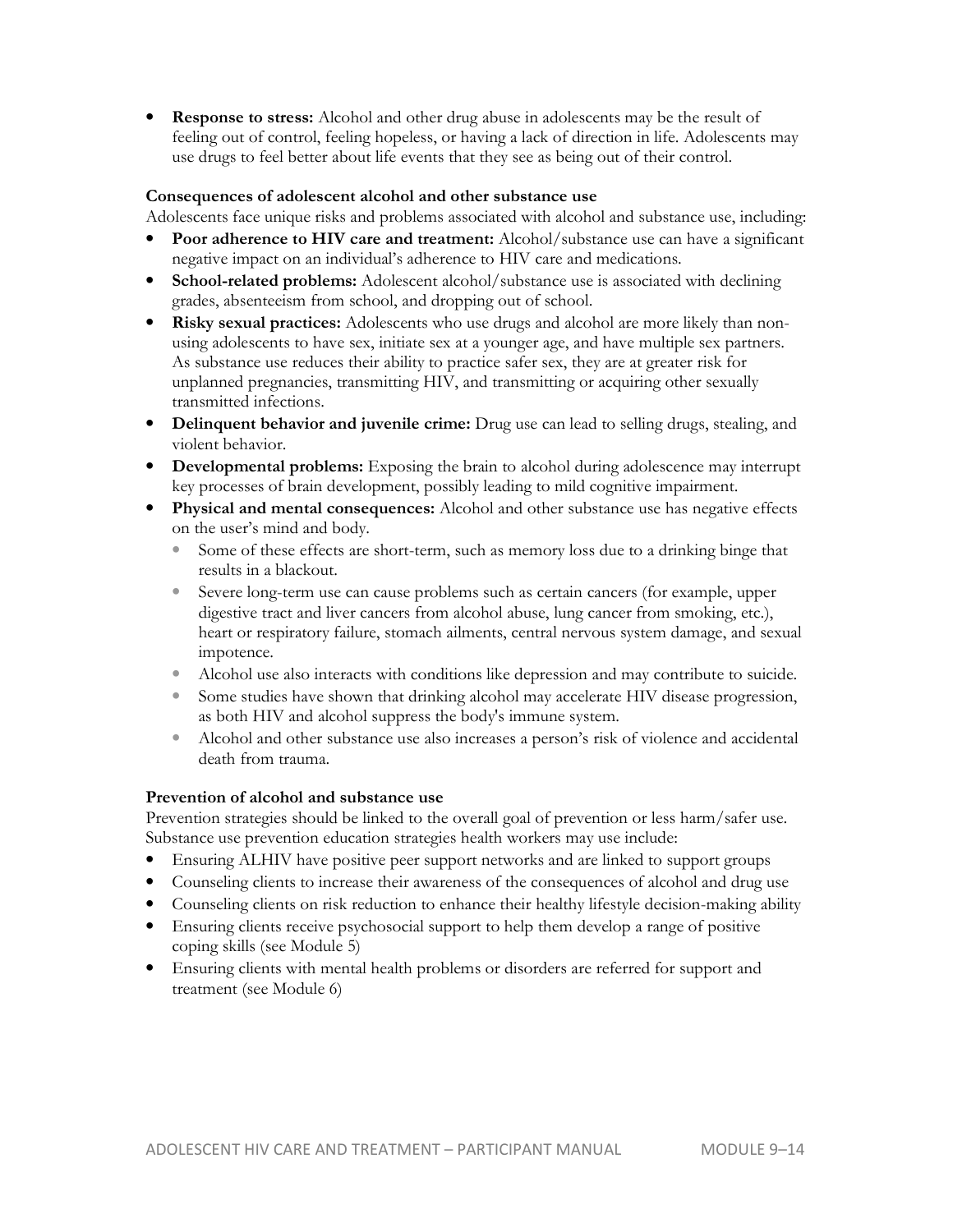**Response to stress:** Alcohol and other drug abuse in adolescents may be the result of feeling out of control, feeling hopeless, or having a lack of direction in life. Adolescents may use drugs to feel better about life events that they see as being out of their control.

#### **Consequences of adolescent alcohol and other substance use**

Adolescents face unique risks and problems associated with alcohol and substance use, including:

- **Poor adherence to HIV care and treatment:** Alcohol/substance use can have a significant negative impact on an individual's adherence to HIV care and medications.
- **School-related problems:** Adolescent alcohol/substance use is associated with declining grades, absenteeism from school, and dropping out of school.
- **Risky sexual practices:** Adolescents who use drugs and alcohol are more likely than nonusing adolescents to have sex, initiate sex at a younger age, and have multiple sex partners. As substance use reduces their ability to practice safer sex, they are at greater risk for unplanned pregnancies, transmitting HIV, and transmitting or acquiring other sexually transmitted infections.
- **Delinquent behavior and juvenile crime:** Drug use can lead to selling drugs, stealing, and violent behavior.
- **Developmental problems:** Exposing the brain to alcohol during adolescence may interrupt key processes of brain development, possibly leading to mild cognitive impairment.
- **Physical and mental consequences:** Alcohol and other substance use has negative effects on the user's mind and body.
	- Some of these effects are short-term, such as memory loss due to a drinking binge that results in a blackout.
	- Severe long-term use can cause problems such as certain cancers (for example, upper digestive tract and liver cancers from alcohol abuse, lung cancer from smoking, etc.), heart or respiratory failure, stomach ailments, central nervous system damage, and sexual impotence.
	- Alcohol use also interacts with conditions like depression and may contribute to suicide.
	- Some studies have shown that drinking alcohol may accelerate HIV disease progression, as both HIV and alcohol suppress the body's immune system.
	- Alcohol and other substance use also increases a person's risk of violence and accidental death from trauma.

### **Prevention of alcohol and substance use**

Prevention strategies should be linked to the overall goal of prevention or less harm/safer use. Substance use prevention education strategies health workers may use include:

- Ensuring ALHIV have positive peer support networks and are linked to support groups
- Counseling clients to increase their awareness of the consequences of alcohol and drug use
- Counseling clients on risk reduction to enhance their healthy lifestyle decision-making ability
- Ensuring clients receive psychosocial support to help them develop a range of positive coping skills (see Module 5)
- Ensuring clients with mental health problems or disorders are referred for support and treatment (see Module 6)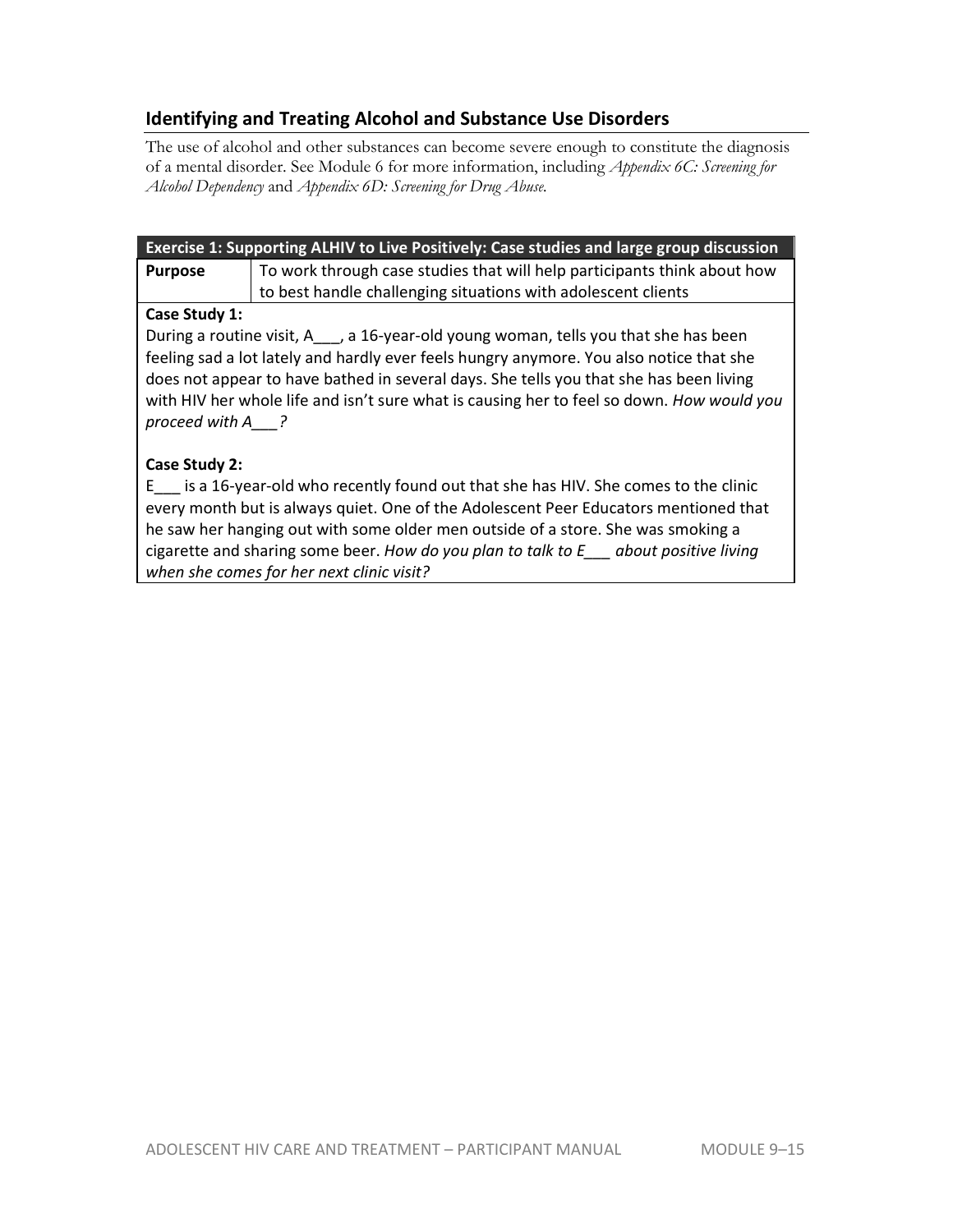## **Identifying and Treating Alcohol and Substance Use Disorders**

The use of alcohol and other substances can become severe enough to constitute the diagnosis of a mental disorder. See Module 6 for more information, including *Appendix 6C: Screening for Alcohol Dependency* and *Appendix 6D: Screening for Drug Abuse.* 

| Exercise 1: Supporting ALHIV to Live Positively: Case studies and large group discussion |                                                                          |  |  |
|------------------------------------------------------------------------------------------|--------------------------------------------------------------------------|--|--|
| <b>Purpose</b>                                                                           | To work through case studies that will help participants think about how |  |  |
|                                                                                          | to best handle challenging situations with adolescent clients            |  |  |

## **Case Study 1:**

During a routine visit, A<sub>nd</sub> a 16-year-old young woman, tells you that she has been feeling sad a lot lately and hardly ever feels hungry anymore. You also notice that she does not appear to have bathed in several days. She tells you that she has been living with HIV her whole life and isn't sure what is causing her to feel so down. *How would you proceed with A\_\_\_?* 

## **Case Study 2:**

E\_\_\_ is a 16-year-old who recently found out that she has HIV. She comes to the clinic every month but is always quiet. One of the Adolescent Peer Educators mentioned that he saw her hanging out with some older men outside of a store. She was smoking a cigarette and sharing some beer. *How do you plan to talk to E\_\_\_ about positive living when she comes for her next clinic visit?*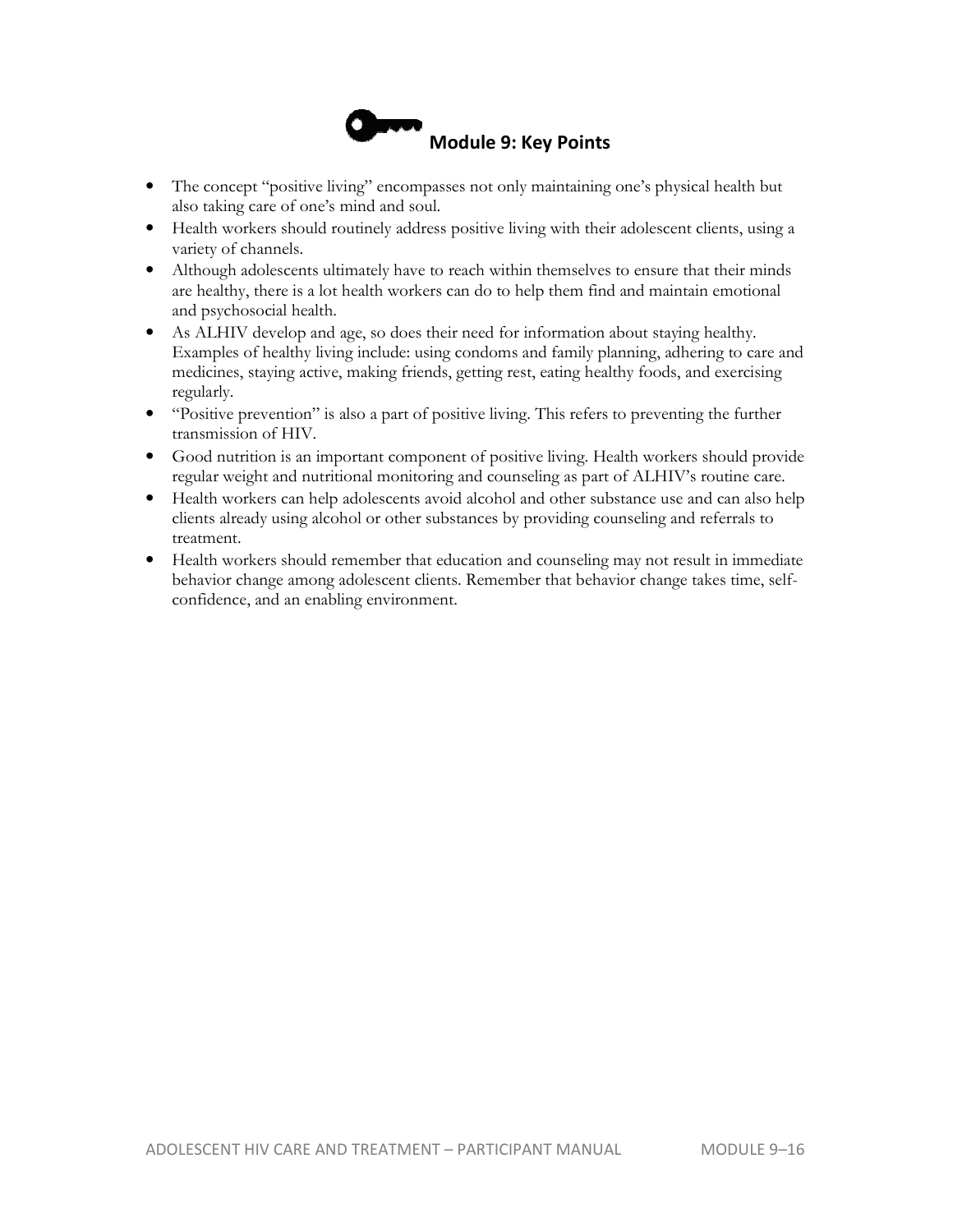

- The concept "positive living" encompasses not only maintaining one's physical health but also taking care of one's mind and soul.
- Health workers should routinely address positive living with their adolescent clients, using a variety of channels.
- Although adolescents ultimately have to reach within themselves to ensure that their minds are healthy, there is a lot health workers can do to help them find and maintain emotional and psychosocial health.
- As ALHIV develop and age, so does their need for information about staying healthy. Examples of healthy living include: using condoms and family planning, adhering to care and medicines, staying active, making friends, getting rest, eating healthy foods, and exercising regularly.
- "Positive prevention" is also a part of positive living. This refers to preventing the further transmission of HIV.
- Good nutrition is an important component of positive living. Health workers should provide regular weight and nutritional monitoring and counseling as part of ALHIV's routine care.
- Health workers can help adolescents avoid alcohol and other substance use and can also help clients already using alcohol or other substances by providing counseling and referrals to treatment.
- Health workers should remember that education and counseling may not result in immediate behavior change among adolescent clients. Remember that behavior change takes time, selfconfidence, and an enabling environment.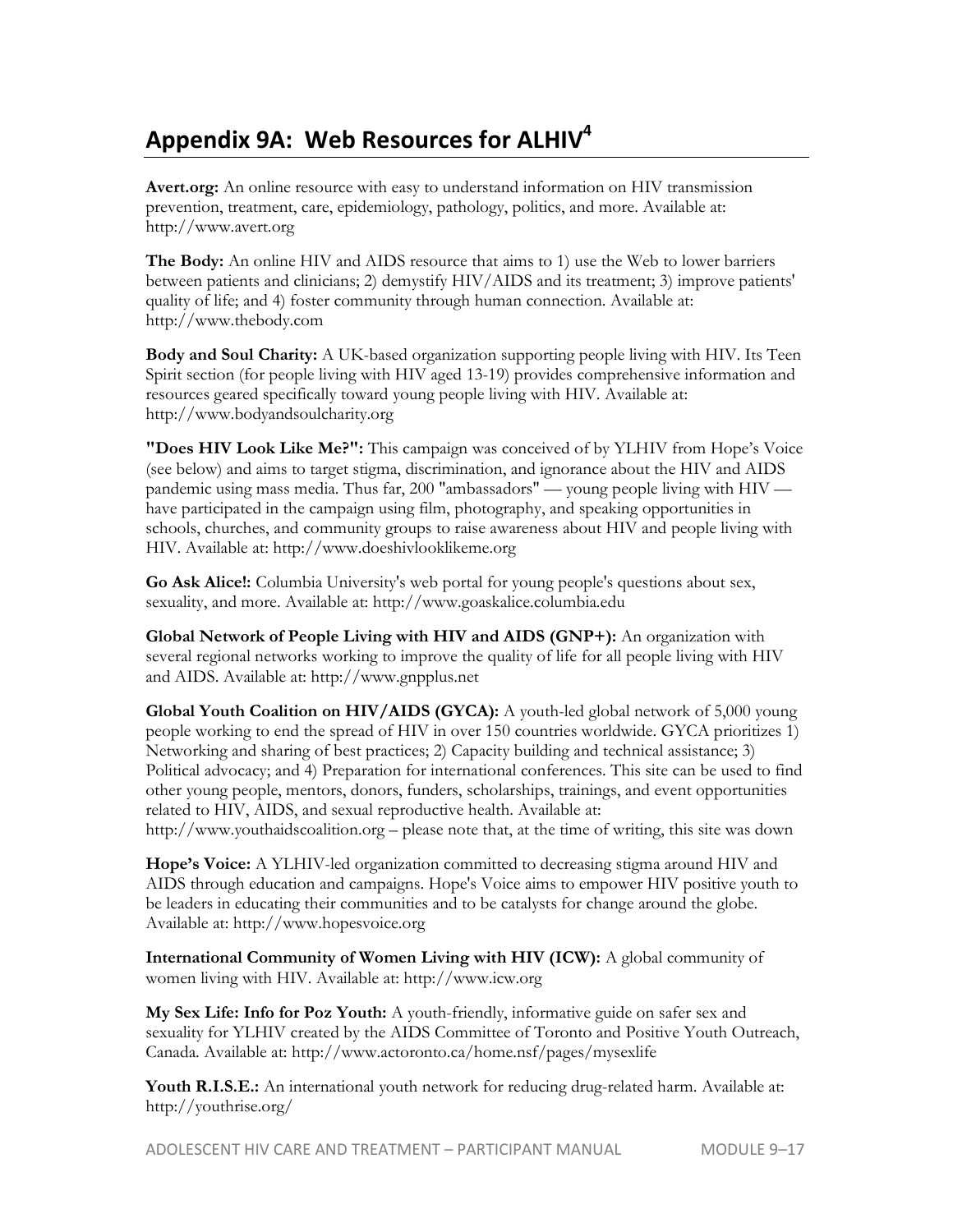## **Appendix 9A: Web Resources for ALHIV<sup>4</sup>**

**Avert.org:** An online resource with easy to understand information on HIV transmission prevention, treatment, care, epidemiology, pathology, politics, and more. Available at: http://www.avert.org

**The Body:** An online HIV and AIDS resource that aims to 1) use the Web to lower barriers between patients and clinicians; 2) demystify HIV/AIDS and its treatment; 3) improve patients' quality of life; and 4) foster community through human connection. Available at: http://www.thebody.com

**Body and Soul Charity:** A UK-based organization supporting people living with HIV. Its Teen Spirit section (for people living with HIV aged 13-19) provides comprehensive information and resources geared specifically toward young people living with HIV. Available at: http://www.bodyandsoulcharity.org

**"Does HIV Look Like Me?":** This campaign was conceived of by YLHIV from Hope's Voice (see below) and aims to target stigma, discrimination, and ignorance about the HIV and AIDS pandemic using mass media. Thus far, 200 "ambassadors" — young people living with HIV have participated in the campaign using film, photography, and speaking opportunities in schools, churches, and community groups to raise awareness about HIV and people living with HIV. Available at: http://www.doeshivlooklikeme.org

**Go Ask Alice!:** Columbia University's web portal for young people's questions about sex, sexuality, and more. Available at: http://www.goaskalice.columbia.edu

**Global Network of People Living with HIV and AIDS (GNP+):** An organization with several regional networks working to improve the quality of life for all people living with HIV and AIDS. Available at: http://www.gnpplus.net

**Global Youth Coalition on HIV/AIDS (GYCA):** A youth-led global network of 5,000 young people working to end the spread of HIV in over 150 countries worldwide. GYCA prioritizes 1) Networking and sharing of best practices; 2) Capacity building and technical assistance; 3) Political advocacy; and 4) Preparation for international conferences. This site can be used to find other young people, mentors, donors, funders, scholarships, trainings, and event opportunities related to HIV, AIDS, and sexual reproductive health. Available at: http://www.youthaidscoalition.org – please note that, at the time of writing, this site was down

**Hope's Voice:** A YLHIV-led organization committed to decreasing stigma around HIV and AIDS through education and campaigns. Hope's Voice aims to empower HIV positive youth to be leaders in educating their communities and to be catalysts for change around the globe. Available at: http://www.hopesvoice.org

**International Community of Women Living with HIV (ICW):** A global community of women living with HIV. Available at: http://www.icw.org

**My Sex Life: Info for Poz Youth:** A youth-friendly, informative guide on safer sex and sexuality for YLHIV created by the AIDS Committee of Toronto and Positive Youth Outreach, Canada. Available at: http://www.actoronto.ca/home.nsf/pages/mysexlife

**Youth R.I.S.E.:** An international youth network for reducing drug-related harm. Available at: http://youthrise.org/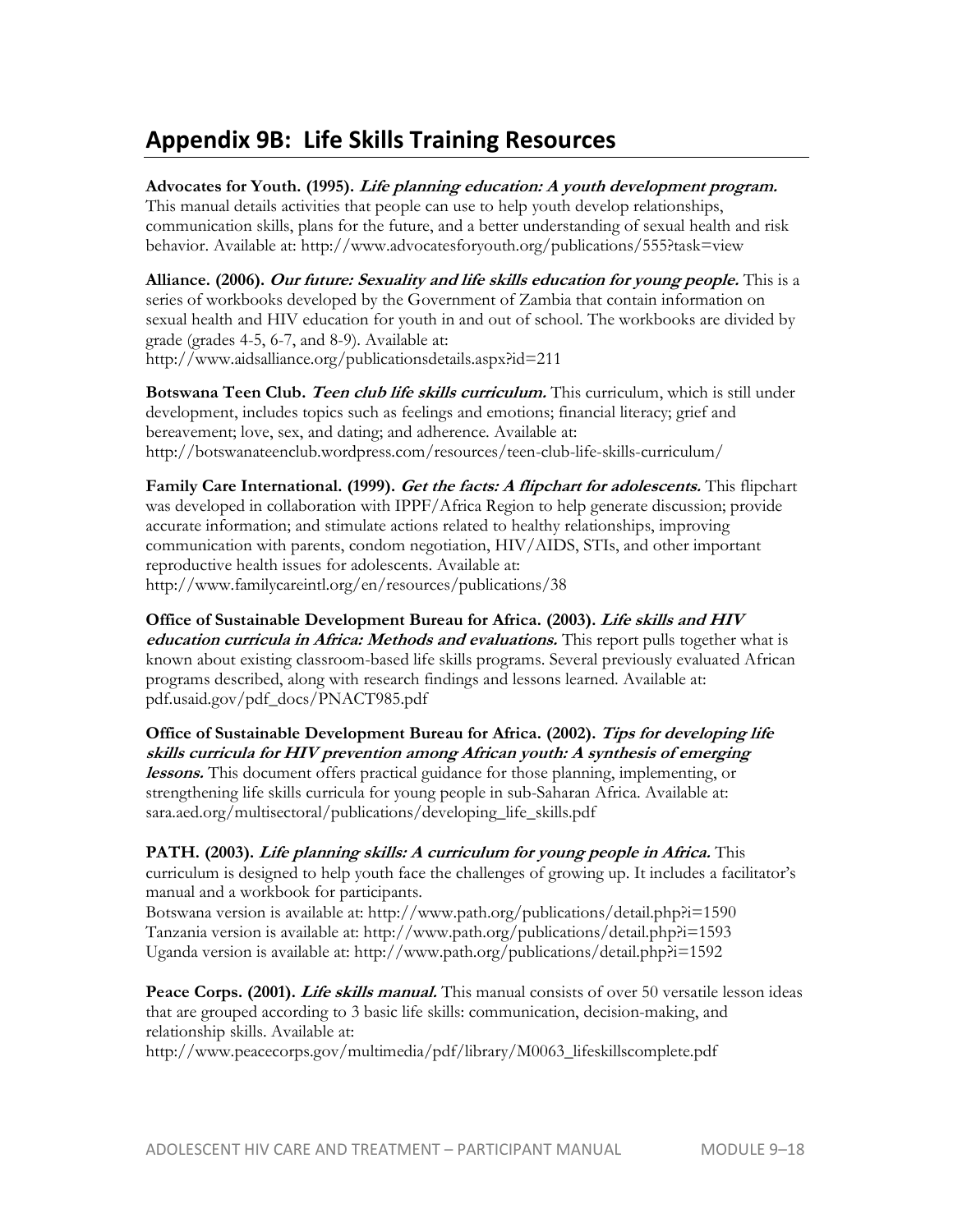## **Appendix 9B: Life Skills Training Resources**

## **Advocates for Youth. (1995). Life planning education: A youth development program.**

This manual details activities that people can use to help youth develop relationships, communication skills, plans for the future, and a better understanding of sexual health and risk behavior. Available at: http://www.advocatesforyouth.org/publications/555?task=view

**Alliance. (2006). Our future: Sexuality and life skills education for young people.** This is a series of workbooks developed by the Government of Zambia that contain information on sexual health and HIV education for youth in and out of school. The workbooks are divided by grade (grades 4-5, 6-7, and 8-9). Available at: http://www.aidsalliance.org/publicationsdetails.aspx?id=211

**Botswana Teen Club. Teen club life skills curriculum.** This curriculum, which is still under development, includes topics such as feelings and emotions; financial literacy; grief and bereavement; love, sex, and dating; and adherence. Available at: http://botswanateenclub.wordpress.com/resources/teen-club-life-skills-curriculum/

**Family Care International. (1999). Get the facts: A flipchart for adolescents.** This flipchart was developed in collaboration with IPPF/Africa Region to help generate discussion; provide accurate information; and stimulate actions related to healthy relationships, improving communication with parents, condom negotiation, HIV/AIDS, STIs, and other important reproductive health issues for adolescents. Available at: http://www.familycareintl.org/en/resources/publications/38

**Office of Sustainable Development Bureau for Africa. (2003). Life skills and HIV education curricula in Africa: Methods and evaluations.** This report pulls together what is known about existing classroom-based life skills programs. Several previously evaluated African programs described, along with research findings and lessons learned. Available at: pdf.usaid.gov/pdf\_docs/PNACT985.pdf

**Office of Sustainable Development Bureau for Africa. (2002). Tips for developing life skills curricula for HIV prevention among African youth: A synthesis of emerging lessons.** This document offers practical guidance for those planning, implementing, or strengthening life skills curricula for young people in sub-Saharan Africa. Available at: sara.aed.org/multisectoral/publications/developing\_life\_skills.pdf

**PATH. (2003). Life planning skills: A curriculum for young people in Africa.** This curriculum is designed to help youth face the challenges of growing up. It includes a facilitator's manual and a workbook for participants.

Botswana version is available at: http://www.path.org/publications/detail.php?i=1590 Tanzania version is available at: http://www.path.org/publications/detail.php?i=1593 Uganda version is available at: http://www.path.org/publications/detail.php?i=1592

Peace Corps. (2001). *Life skills manual*. This manual consists of over 50 versatile lesson ideas that are grouped according to 3 basic life skills: communication, decision-making, and relationship skills. Available at:

http://www.peacecorps.gov/multimedia/pdf/library/M0063\_lifeskillscomplete.pdf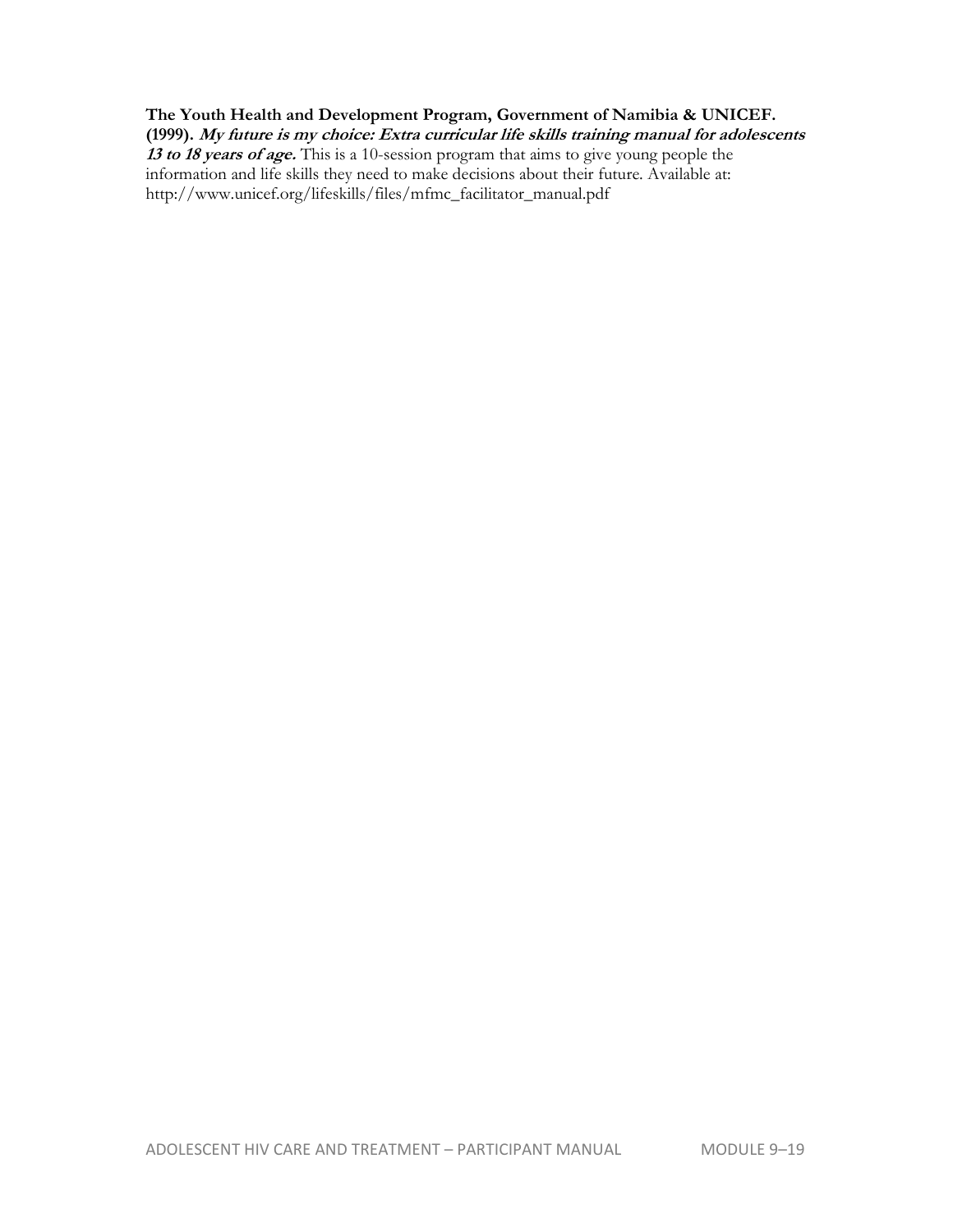## **The Youth Health and Development Program, Government of Namibia & UNICEF. (1999). My future is my choice: Extra curricular life skills training manual for adolescents**

**13 to 18 years of age.** This is a 10-session program that aims to give young people the information and life skills they need to make decisions about their future. Available at: http://www.unicef.org/lifeskills/files/mfmc\_facilitator\_manual.pdf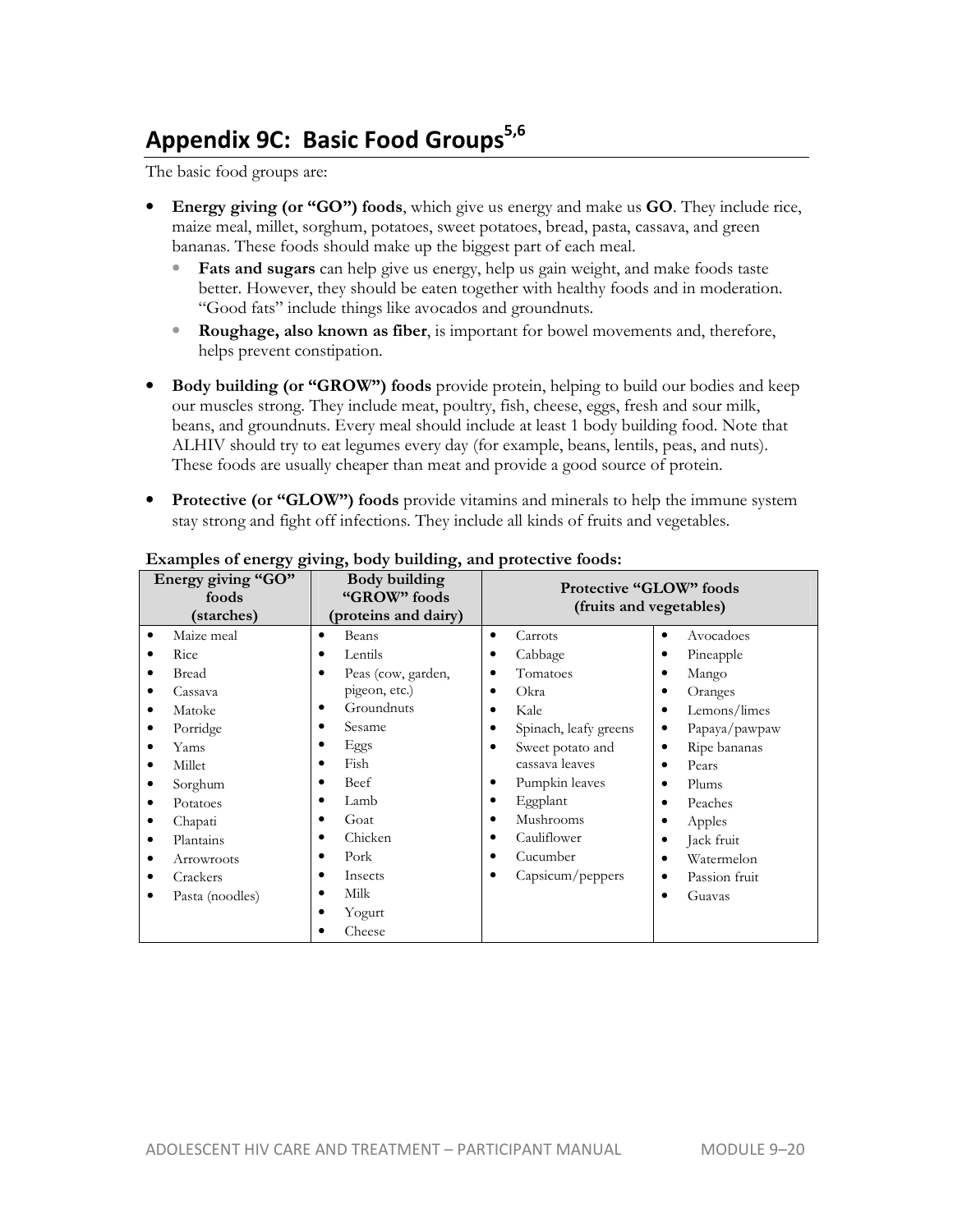# **Appendix 9C: Basic Food Groups5,6**

The basic food groups are:

- **Energy giving (or "GO") foods**, which give us energy and make us **GO**. They include rice, maize meal, millet, sorghum, potatoes, sweet potatoes, bread, pasta, cassava, and green bananas. These foods should make up the biggest part of each meal.
	- **Fats and sugars** can help give us energy, help us gain weight, and make foods taste better. However, they should be eaten together with healthy foods and in moderation. "Good fats" include things like avocados and groundnuts.
	- **Roughage, also known as fiber**, is important for bowel movements and, therefore, helps prevent constipation.
- **Body building (or "GROW") foods** provide protein, helping to build our bodies and keep our muscles strong. They include meat, poultry, fish, cheese, eggs, fresh and sour milk, beans, and groundnuts. Every meal should include at least 1 body building food. Note that ALHIV should try to eat legumes every day (for example, beans, lentils, peas, and nuts). These foods are usually cheaper than meat and provide a good source of protein.
- **Protective (or "GLOW") foods** provide vitamins and minerals to help the immune system stay strong and fight off infections. They include all kinds of fruits and vegetables.

| Energy giving "GO"<br>Body building<br>"GROW" foods<br>foods<br>(proteins and dairy)<br>(starches) |                 | <b>Protective "GLOW"</b> foods<br>(fruits and vegetables) |                    |   |                       |           |               |
|----------------------------------------------------------------------------------------------------|-----------------|-----------------------------------------------------------|--------------------|---|-----------------------|-----------|---------------|
| ٠                                                                                                  | Maize meal      | ٠                                                         | Beans              | ٠ | Carrots               | ٠         | Avocadoes     |
|                                                                                                    | Rice            | ٠                                                         | Lentils            |   | Cabbage               | ٠         | Pineapple     |
|                                                                                                    | Bread           |                                                           | Peas (cow, garden, |   | Tomatoes              | ٠         | Mango         |
|                                                                                                    | Cassava         |                                                           | pigeon, etc.)      |   | Okra                  |           | Oranges       |
|                                                                                                    | Matoke          |                                                           | Groundnuts         |   | Kale                  | $\bullet$ | Lemons/limes  |
|                                                                                                    | Porridge        |                                                           | Sesame             |   | Spinach, leafy greens | $\bullet$ | Papaya/pawpaw |
|                                                                                                    | Yams            |                                                           | Eggs               |   | Sweet potato and      | $\bullet$ | Ripe bananas  |
|                                                                                                    | Millet          | ٠                                                         | Fish               |   | cassava leaves        | $\bullet$ | Pears         |
|                                                                                                    | Sorghum         |                                                           | Beef               |   | Pumpkin leaves        | ٠         | Plums         |
| ٠                                                                                                  | Potatoes        | ٠                                                         | Lamb               |   | Eggplant              | $\bullet$ | Peaches       |
|                                                                                                    | Chapati         |                                                           | Goat               |   | Mushrooms             | ٠         | Apples        |
| ٠                                                                                                  | Plantains       | ٠                                                         | Chicken            |   | Cauliflower           | ٠         | Jack fruit    |
|                                                                                                    | Arrowroots      |                                                           | Pork               |   | Cucumber              | ٠         | Watermelon    |
|                                                                                                    | Crackers        |                                                           | Insects            |   | Capsicum/peppers      | $\bullet$ | Passion fruit |
|                                                                                                    | Pasta (noodles) | ٠                                                         | Milk               |   |                       | $\bullet$ | Guavas        |
|                                                                                                    |                 |                                                           | Yogurt             |   |                       |           |               |
|                                                                                                    |                 |                                                           | Cheese             |   |                       |           |               |

#### **Examples of energy giving, body building, and protective foods:**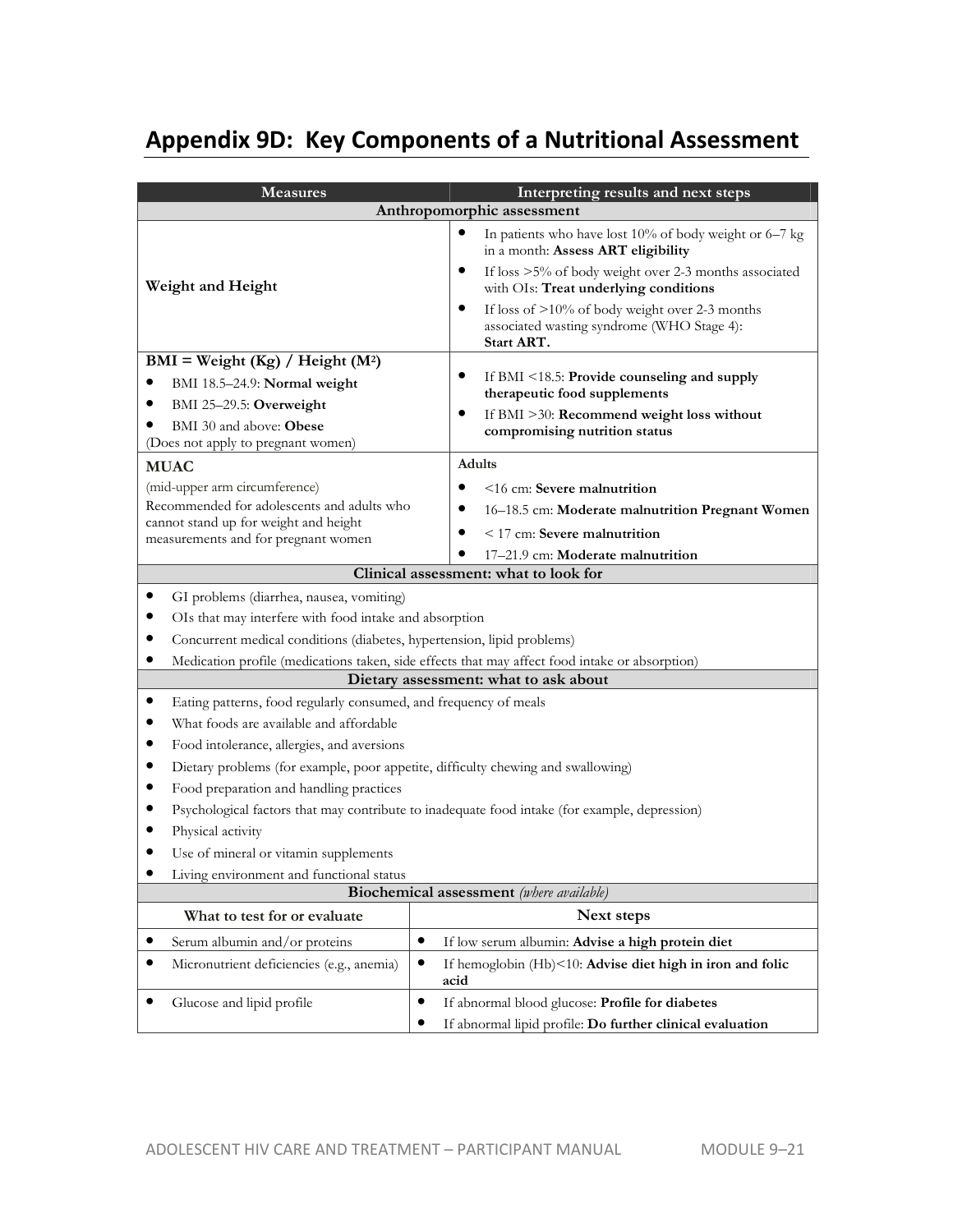## **Appendix 9D: Key Components of a Nutritional Assessment**

| <b>Measures</b>                                                                     | Interpreting results and next steps                                                                             |  |  |  |  |
|-------------------------------------------------------------------------------------|-----------------------------------------------------------------------------------------------------------------|--|--|--|--|
|                                                                                     | Anthropomorphic assessment                                                                                      |  |  |  |  |
|                                                                                     | $\bullet$<br>In patients who have lost 10% of body weight or 6–7 kg<br>in a month: Assess ART eligibility       |  |  |  |  |
| Weight and Height                                                                   | If loss >5% of body weight over 2-3 months associated<br>٠<br>with OIs: Treat underlying conditions             |  |  |  |  |
|                                                                                     | If loss of >10% of body weight over 2-3 months<br>٠<br>associated wasting syndrome (WHO Stage 4):<br>Start ART. |  |  |  |  |
| $BMI = Weight (Kg) / Height (M2)$                                                   |                                                                                                                 |  |  |  |  |
| BMI 18.5-24.9: Normal weight                                                        | ٠<br>If BMI <18.5: Provide counseling and supply                                                                |  |  |  |  |
| BMI 25-29.5: Overweight                                                             | therapeutic food supplements<br>$\bullet$                                                                       |  |  |  |  |
| BMI 30 and above: Obese                                                             | If BMI >30: Recommend weight loss without<br>compromising nutrition status                                      |  |  |  |  |
| (Does not apply to pregnant women)                                                  |                                                                                                                 |  |  |  |  |
| <b>MUAC</b>                                                                         | <b>Adults</b>                                                                                                   |  |  |  |  |
| (mid-upper arm circumference)                                                       | $\bullet$<br><16 cm: Severe malnutrition                                                                        |  |  |  |  |
| Recommended for adolescents and adults who<br>cannot stand up for weight and height | $\bullet$<br>16-18.5 cm: Moderate malnutrition Pregnant Women                                                   |  |  |  |  |
| measurements and for pregnant women                                                 | $<$ 17 cm: Severe malnutrition                                                                                  |  |  |  |  |
|                                                                                     | 17-21.9 cm: Moderate malnutrition                                                                               |  |  |  |  |
|                                                                                     | Clinical assessment: what to look for                                                                           |  |  |  |  |
| GI problems (diarrhea, nausea, vomiting)                                            |                                                                                                                 |  |  |  |  |
| OIs that may interfere with food intake and absorption                              |                                                                                                                 |  |  |  |  |
| Concurrent medical conditions (diabetes, hypertension, lipid problems)              |                                                                                                                 |  |  |  |  |
|                                                                                     | Medication profile (medications taken, side effects that may affect food intake or absorption)                  |  |  |  |  |
|                                                                                     | Dietary assessment: what to ask about                                                                           |  |  |  |  |
| ٠<br>Eating patterns, food regularly consumed, and frequency of meals               |                                                                                                                 |  |  |  |  |
| What foods are available and affordable<br>٠                                        |                                                                                                                 |  |  |  |  |
| Food intolerance, allergies, and aversions                                          |                                                                                                                 |  |  |  |  |
| Dietary problems (for example, poor appetite, difficulty chewing and swallowing)    |                                                                                                                 |  |  |  |  |
| Food preparation and handling practices                                             |                                                                                                                 |  |  |  |  |
| Physical activity                                                                   | Psychological factors that may contribute to inadequate food intake (for example, depression)                   |  |  |  |  |
| Use of mineral or vitamin supplements                                               |                                                                                                                 |  |  |  |  |
| Living environment and functional status                                            |                                                                                                                 |  |  |  |  |
|                                                                                     | <b>Biochemical assessment</b> (where available)                                                                 |  |  |  |  |
| What to test for or evaluate                                                        | Next steps                                                                                                      |  |  |  |  |
| Serum albumin and/or proteins<br>$\bullet$                                          | If low serum albumin: Advise a high protein diet                                                                |  |  |  |  |
| Micronutrient deficiencies (e.g., anemia)                                           | ٠<br>If hemoglobin (Hb)<10: Advise diet high in iron and folic<br>acid                                          |  |  |  |  |
| Glucose and lipid profile                                                           | If abnormal blood glucose: Profile for diabetes<br>٠                                                            |  |  |  |  |
|                                                                                     | If abnormal lipid profile: Do further clinical evaluation                                                       |  |  |  |  |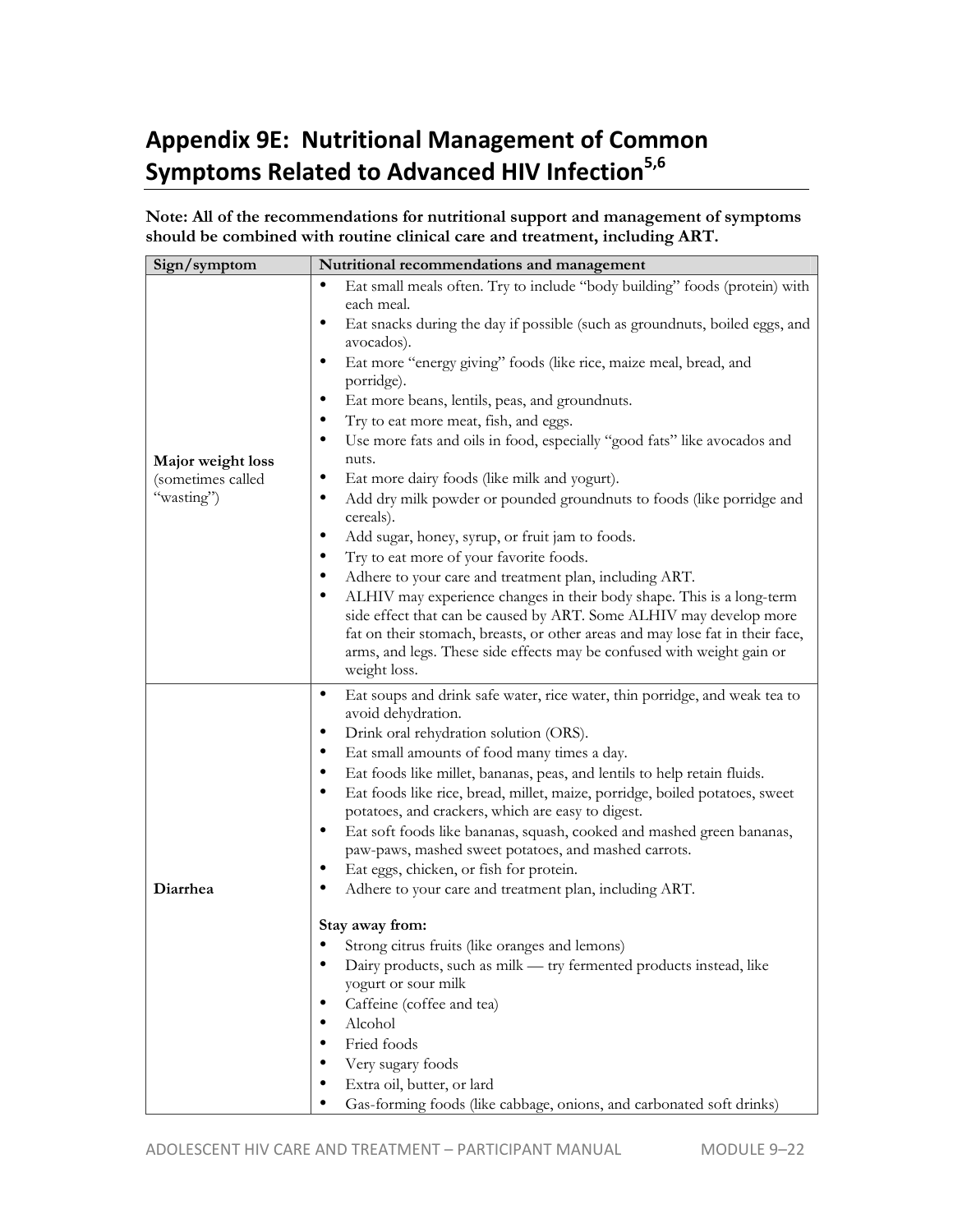## **Appendix 9E: Nutritional Management of Common Symptoms Related to Advanced HIV Infection5,6**

**Note: All of the recommendations for nutritional support and management of symptoms should be combined with routine clinical care and treatment, including ART.** 

| Sign/symptom                                         | Nutritional recommendations and management                                                                                                                                                                                                                                                                                                                                                                                                                                                                                                                                                                                                                                                              |
|------------------------------------------------------|---------------------------------------------------------------------------------------------------------------------------------------------------------------------------------------------------------------------------------------------------------------------------------------------------------------------------------------------------------------------------------------------------------------------------------------------------------------------------------------------------------------------------------------------------------------------------------------------------------------------------------------------------------------------------------------------------------|
| Major weight loss<br>(sometimes called<br>"wasting") | $\bullet$<br>Eat small meals often. Try to include "body building" foods (protein) with<br>each meal.<br>Eat snacks during the day if possible (such as groundnuts, boiled eggs, and<br>avocados).<br>Eat more "energy giving" foods (like rice, maize meal, bread, and<br>٠<br>porridge).<br>٠<br>Eat more beans, lentils, peas, and groundnuts.<br>Try to eat more meat, fish, and eggs.<br>٠<br>Use more fats and oils in food, especially "good fats" like avocados and<br>٠<br>nuts.<br>$\bullet$<br>Eat more dairy foods (like milk and yogurt).<br>Add dry milk powder or pounded groundnuts to foods (like porridge and<br>٠<br>cereals).                                                       |
|                                                      | ٠<br>Add sugar, honey, syrup, or fruit jam to foods.<br>Try to eat more of your favorite foods.<br>Adhere to your care and treatment plan, including ART.<br>ALHIV may experience changes in their body shape. This is a long-term<br>side effect that can be caused by ART. Some ALHIV may develop more<br>fat on their stomach, breasts, or other areas and may lose fat in their face,<br>arms, and legs. These side effects may be confused with weight gain or<br>weight loss.                                                                                                                                                                                                                     |
| Diarrhea                                             | Eat soups and drink safe water, rice water, thin porridge, and weak tea to<br>٠<br>avoid dehydration.<br>Drink oral rehydration solution (ORS).<br>$\bullet$<br>٠<br>Eat small amounts of food many times a day.<br>Eat foods like millet, bananas, peas, and lentils to help retain fluids.<br>$\bullet$<br>Eat foods like rice, bread, millet, maize, porridge, boiled potatoes, sweet<br>٠<br>potatoes, and crackers, which are easy to digest.<br>Eat soft foods like bananas, squash, cooked and mashed green bananas,<br>٠<br>paw-paws, mashed sweet potatoes, and mashed carrots.<br>٠<br>Eat eggs, chicken, or fish for protein.<br>Adhere to your care and treatment plan, including ART.<br>٠ |
|                                                      | Stay away from:<br>• Strong citrus fruits (like oranges and lemons)<br>Dairy products, such as milk - try fermented products instead, like<br>yogurt or sour milk<br>Caffeine (coffee and tea)<br>Alcohol<br>Fried foods<br>Very sugary foods<br>Extra oil, butter, or lard<br>Gas-forming foods (like cabbage, onions, and carbonated soft drinks)                                                                                                                                                                                                                                                                                                                                                     |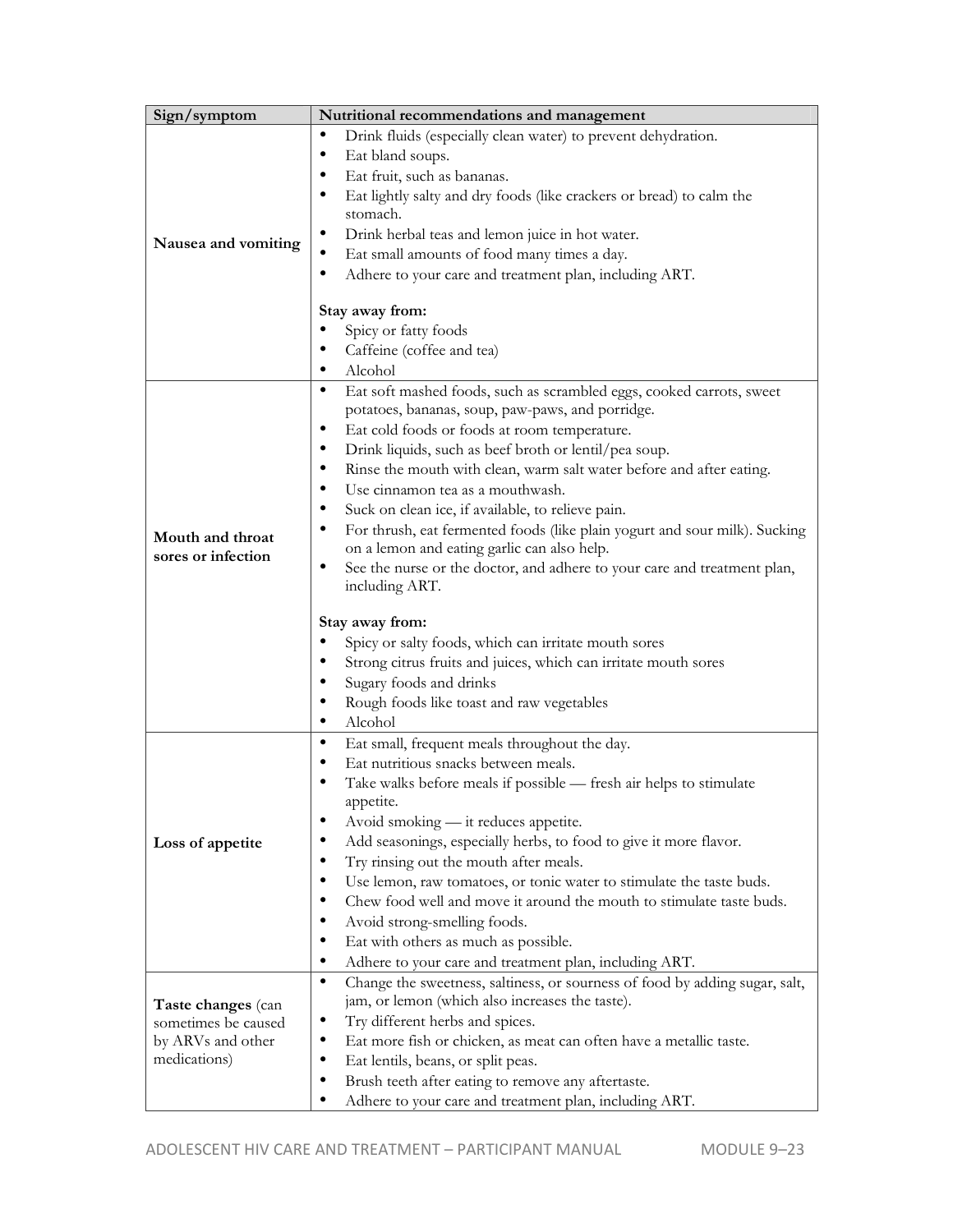| Sign/symptom        | Nutritional recommendations and management                                               |
|---------------------|------------------------------------------------------------------------------------------|
|                     | Drink fluids (especially clean water) to prevent dehydration.<br>٠                       |
|                     | Eat bland soups.<br>٠                                                                    |
|                     | Eat fruit, such as bananas.<br>٠                                                         |
|                     | Eat lightly salty and dry foods (like crackers or bread) to calm the                     |
|                     | stomach.                                                                                 |
|                     | Drink herbal teas and lemon juice in hot water.<br>٠                                     |
| Nausea and vomiting | Eat small amounts of food many times a day.                                              |
|                     | ٠                                                                                        |
|                     | Adhere to your care and treatment plan, including ART.                                   |
|                     | Stay away from:                                                                          |
|                     | Spicy or fatty foods                                                                     |
|                     | Caffeine (coffee and tea)                                                                |
|                     | Alcohol                                                                                  |
|                     | $\bullet$                                                                                |
|                     | Eat soft mashed foods, such as scrambled eggs, cooked carrots, sweet                     |
|                     | potatoes, bananas, soup, paw-paws, and porridge.                                         |
|                     | Eat cold foods or foods at room temperature.<br>٠                                        |
|                     | Drink liquids, such as beef broth or lentil/pea soup.<br>٠                               |
|                     | Rinse the mouth with clean, warm salt water before and after eating.<br>٠                |
|                     | Use cinnamon tea as a mouthwash.                                                         |
|                     | ٠<br>Suck on clean ice, if available, to relieve pain.                                   |
| Mouth and throat    | For thrush, eat fermented foods (like plain yogurt and sour milk). Sucking               |
| sores or infection  | on a lemon and eating garlic can also help.                                              |
|                     | See the nurse or the doctor, and adhere to your care and treatment plan,<br>٠            |
|                     | including ART.                                                                           |
|                     |                                                                                          |
|                     | Stay away from:                                                                          |
|                     | Spicy or salty foods, which can irritate mouth sores                                     |
|                     | Strong citrus fruits and juices, which can irritate mouth sores                          |
|                     | Sugary foods and drinks<br>٠                                                             |
|                     | Rough foods like toast and raw vegetables                                                |
|                     | Alcohol<br>٠                                                                             |
|                     | $\bullet$<br>Eat small, frequent meals throughout the day.                               |
|                     | Eat nutritious snacks between meals.<br>٠                                                |
|                     | Take walks before meals if possible - fresh air helps to stimulate<br>٠                  |
|                     | appetite.                                                                                |
|                     | ٠<br>Avoid smoking — it reduces appetite.                                                |
| Loss of appetite    | Add seasonings, especially herbs, to food to give it more flavor.<br>٠                   |
|                     | Try rinsing out the mouth after meals.<br>٠                                              |
|                     | Use lemon, raw tomatoes, or tonic water to stimulate the taste buds.<br>٠                |
|                     | Chew food well and move it around the mouth to stimulate taste buds.<br>٠                |
|                     | Avoid strong-smelling foods.<br>٠                                                        |
|                     | ٠<br>Eat with others as much as possible.                                                |
|                     | Adhere to your care and treatment plan, including ART.<br>٠                              |
|                     | Change the sweetness, saltiness, or sourness of food by adding sugar, salt,<br>$\bullet$ |
| Taste changes (can  | jam, or lemon (which also increases the taste).                                          |
| sometimes be caused | Try different herbs and spices.                                                          |
| by ARVs and other   | Eat more fish or chicken, as meat can often have a metallic taste.<br>٠                  |
| medications)        | ٠<br>Eat lentils, beans, or split peas.                                                  |
|                     | Brush teeth after eating to remove any aftertaste.<br>٠                                  |
|                     | Adhere to your care and treatment plan, including ART.                                   |